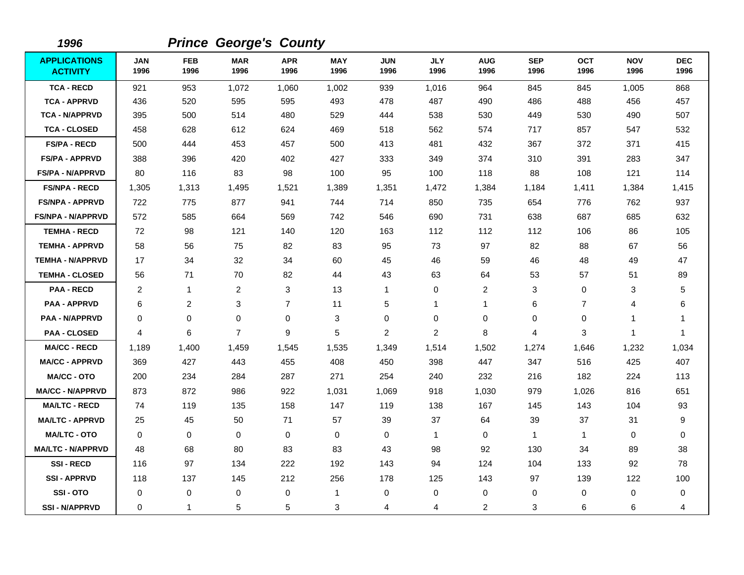| 1996                                   |                    |                    | <b>Prince George's County</b> |                    |                    |                    |                    |                    |                    |                    |                    |                    |
|----------------------------------------|--------------------|--------------------|-------------------------------|--------------------|--------------------|--------------------|--------------------|--------------------|--------------------|--------------------|--------------------|--------------------|
| <b>APPLICATIONS</b><br><b>ACTIVITY</b> | <b>JAN</b><br>1996 | <b>FEB</b><br>1996 | <b>MAR</b><br>1996            | <b>APR</b><br>1996 | <b>MAY</b><br>1996 | <b>JUN</b><br>1996 | <b>JLY</b><br>1996 | <b>AUG</b><br>1996 | <b>SEP</b><br>1996 | <b>OCT</b><br>1996 | <b>NOV</b><br>1996 | <b>DEC</b><br>1996 |
| <b>TCA - RECD</b>                      | 921                | 953                | 1,072                         | 1,060              | 1,002              | 939                | 1,016              | 964                | 845                | 845                | 1,005              | 868                |
| <b>TCA - APPRVD</b>                    | 436                | 520                | 595                           | 595                | 493                | 478                | 487                | 490                | 486                | 488                | 456                | 457                |
| <b>TCA - N/APPRVD</b>                  | 395                | 500                | 514                           | 480                | 529                | 444                | 538                | 530                | 449                | 530                | 490                | 507                |
| <b>TCA - CLOSED</b>                    | 458                | 628                | 612                           | 624                | 469                | 518                | 562                | 574                | 717                | 857                | 547                | 532                |
| <b>FS/PA - RECD</b>                    | 500                | 444                | 453                           | 457                | 500                | 413                | 481                | 432                | 367                | 372                | 371                | 415                |
| <b>FS/PA - APPRVD</b>                  | 388                | 396                | 420                           | 402                | 427                | 333                | 349                | 374                | 310                | 391                | 283                | 347                |
| <b>FS/PA - N/APPRVD</b>                | 80                 | 116                | 83                            | 98                 | 100                | 95                 | 100                | 118                | 88                 | 108                | 121                | 114                |
| <b>FS/NPA - RECD</b>                   | 1,305              | 1,313              | 1,495                         | 1,521              | 1,389              | 1,351              | 1,472              | 1,384              | 1,184              | 1,411              | 1,384              | 1,415              |
| <b>FS/NPA - APPRVD</b>                 | 722                | 775                | 877                           | 941                | 744                | 714                | 850                | 735                | 654                | 776                | 762                | 937                |
| FS/NPA - N/APPRVD                      | 572                | 585                | 664                           | 569                | 742                | 546                | 690                | 731                | 638                | 687                | 685                | 632                |
| <b>TEMHA - RECD</b>                    | 72                 | 98                 | 121                           | 140                | 120                | 163                | 112                | 112                | 112                | 106                | 86                 | 105                |
| <b>TEMHA - APPRVD</b>                  | 58                 | 56                 | 75                            | 82                 | 83                 | 95                 | 73                 | 97                 | 82                 | 88                 | 67                 | 56                 |
| <b>TEMHA - N/APPRVD</b>                | 17                 | 34                 | 32                            | 34                 | 60                 | 45                 | 46                 | 59                 | 46                 | 48                 | 49                 | 47                 |
| <b>TEMHA - CLOSED</b>                  | 56                 | 71                 | 70                            | 82                 | 44                 | 43                 | 63                 | 64                 | 53                 | 57                 | 51                 | 89                 |
| <b>PAA - RECD</b>                      | 2                  | $\mathbf{1}$       | 2                             | 3                  | 13                 | $\mathbf{1}$       | 0                  | 2                  | 3                  | $\mathbf 0$        | 3                  | 5                  |
| <b>PAA - APPRVD</b>                    | 6                  | 2                  | 3                             | $\overline{7}$     | 11                 | 5                  | 1                  | 1                  | 6                  | $\overline{7}$     | 4                  | 6                  |
| <b>PAA - N/APPRVD</b>                  | $\mathbf 0$        | 0                  | 0                             | $\mathbf 0$        | 3                  | $\pmb{0}$          | 0                  | 0                  | $\mathbf 0$        | 0                  | $\mathbf{1}$       | 1                  |
| <b>PAA - CLOSED</b>                    | 4                  | 6                  | $\overline{7}$                | 9                  | 5                  | $\overline{c}$     | $\overline{c}$     | 8                  | 4                  | 3                  | 1                  | 1                  |
| <b>MA/CC - RECD</b>                    | 1,189              | 1,400              | 1,459                         | 1,545              | 1,535              | 1,349              | 1,514              | 1,502              | 1,274              | 1,646              | 1,232              | 1,034              |
| <b>MA/CC - APPRVD</b>                  | 369                | 427                | 443                           | 455                | 408                | 450                | 398                | 447                | 347                | 516                | 425                | 407                |
| <b>MA/CC - OTO</b>                     | 200                | 234                | 284                           | 287                | 271                | 254                | 240                | 232                | 216                | 182                | 224                | 113                |
| <b>MA/CC - N/APPRVD</b>                | 873                | 872                | 986                           | 922                | 1,031              | 1,069              | 918                | 1,030              | 979                | 1,026              | 816                | 651                |
| <b>MA/LTC - RECD</b>                   | 74                 | 119                | 135                           | 158                | 147                | 119                | 138                | 167                | 145                | 143                | 104                | 93                 |
| <b>MA/LTC - APPRVD</b>                 | 25                 | 45                 | 50                            | 71                 | 57                 | 39                 | 37                 | 64                 | 39                 | 37                 | 31                 | 9                  |
| <b>MA/LTC - OTO</b>                    | $\mathbf 0$        | 0                  | 0                             | 0                  | 0                  | 0                  | $\overline{1}$     | 0                  | $\mathbf{1}$       | $\mathbf 1$        | 0                  | 0                  |
| <b>MA/LTC - N/APPRVD</b>               | 48                 | 68                 | 80                            | 83                 | 83                 | 43                 | 98                 | 92                 | 130                | 34                 | 89                 | 38                 |
| <b>SSI-RECD</b>                        | 116                | 97                 | 134                           | 222                | 192                | 143                | 94                 | 124                | 104                | 133                | 92                 | 78                 |
| <b>SSI-APPRVD</b>                      | 118                | 137                | 145                           | 212                | 256                | 178                | 125                | 143                | 97                 | 139                | 122                | 100                |
| SSI-OTO                                | 0                  | 0                  | 0                             | 0                  | $\mathbf{1}$       | $\mathbf 0$        | 0                  | 0                  | 0                  | 0                  | $\mathbf 0$        | 0                  |
| <b>SSI - N/APPRVD</b>                  | 0                  | $\mathbf{1}$       | 5                             | 5                  | 3                  | 4                  | 4                  | $\overline{2}$     | 3                  | 6                  | 6                  | 4                  |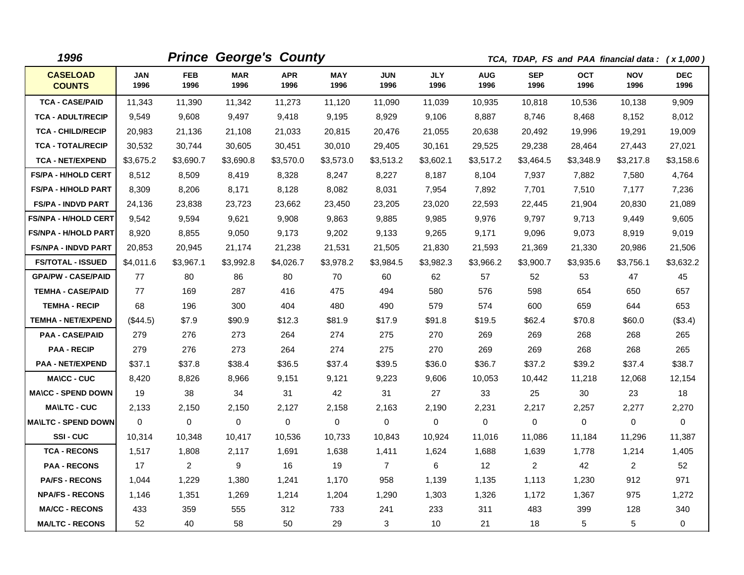| 1996                             |                    |                    | <b>Prince George's County</b> |                    |                    |                    |                    | TCA, TDAP, FS and PAA financial data: (x 1,000) |                    |                    |                    |                    |
|----------------------------------|--------------------|--------------------|-------------------------------|--------------------|--------------------|--------------------|--------------------|-------------------------------------------------|--------------------|--------------------|--------------------|--------------------|
| <b>CASELOAD</b><br><b>COUNTS</b> | <b>JAN</b><br>1996 | <b>FEB</b><br>1996 | <b>MAR</b><br>1996            | <b>APR</b><br>1996 | <b>MAY</b><br>1996 | <b>JUN</b><br>1996 | <b>JLY</b><br>1996 | <b>AUG</b><br>1996                              | <b>SEP</b><br>1996 | <b>OCT</b><br>1996 | <b>NOV</b><br>1996 | <b>DEC</b><br>1996 |
| <b>TCA - CASE/PAID</b>           | 11,343             | 11,390             | 11,342                        | 11,273             | 11,120             | 11,090             | 11,039             | 10,935                                          | 10,818             | 10,536             | 10,138             | 9,909              |
| <b>TCA - ADULT/RECIP</b>         | 9,549              | 9,608              | 9,497                         | 9,418              | 9,195              | 8,929              | 9,106              | 8,887                                           | 8,746              | 8,468              | 8,152              | 8,012              |
| <b>TCA - CHILD/RECIP</b>         | 20,983             | 21,136             | 21,108                        | 21,033             | 20,815             | 20,476             | 21,055             | 20,638                                          | 20,492             | 19,996             | 19,291             | 19,009             |
| <b>TCA - TOTAL/RECIP</b>         | 30,532             | 30,744             | 30,605                        | 30,451             | 30,010             | 29,405             | 30,161             | 29,525                                          | 29,238             | 28,464             | 27,443             | 27,021             |
| <b>TCA - NET/EXPEND</b>          | \$3,675.2          | \$3,690.7          | \$3,690.8                     | \$3,570.0          | \$3,573.0          | \$3,513.2          | \$3,602.1          | \$3,517.2                                       | \$3,464.5          | \$3,348.9          | \$3,217.8          | \$3,158.6          |
| <b>FS/PA - H/HOLD CERT</b>       | 8,512              | 8,509              | 8,419                         | 8,328              | 8,247              | 8,227              | 8,187              | 8,104                                           | 7,937              | 7,882              | 7,580              | 4,764              |
| <b>FS/PA - H/HOLD PART</b>       | 8,309              | 8,206              | 8,171                         | 8,128              | 8,082              | 8,031              | 7,954              | 7,892                                           | 7,701              | 7,510              | 7,177              | 7,236              |
| <b>FS/PA - INDVD PART</b>        | 24,136             | 23,838             | 23,723                        | 23,662             | 23,450             | 23,205             | 23,020             | 22,593                                          | 22,445             | 21,904             | 20,830             | 21,089             |
| <b>FS/NPA - H/HOLD CERT</b>      | 9,542              | 9,594              | 9,621                         | 9,908              | 9,863              | 9.885              | 9,985              | 9,976                                           | 9.797              | 9,713              | 9,449              | 9,605              |
| <b>FS/NPA - H/HOLD PART</b>      | 8,920              | 8,855              | 9,050                         | 9,173              | 9,202              | 9,133              | 9,265              | 9,171                                           | 9,096              | 9,073              | 8,919              | 9,019              |
| <b>FS/NPA - INDVD PART</b>       | 20,853             | 20,945             | 21,174                        | 21,238             | 21,531             | 21,505             | 21,830             | 21,593                                          | 21,369             | 21,330             | 20,986             | 21,506             |
| <b>FS/TOTAL - ISSUED</b>         | \$4,011.6          | \$3,967.1          | \$3,992.8                     | \$4,026.7          | \$3,978.2          | \$3,984.5          | \$3,982.3          | \$3,966.2                                       | \$3,900.7          | \$3,935.6          | \$3,756.1          | \$3,632.2          |
| <b>GPA/PW - CASE/PAID</b>        | 77                 | 80                 | 86                            | 80                 | 70                 | 60                 | 62                 | 57                                              | 52                 | 53                 | 47                 | 45                 |
| <b>TEMHA - CASE/PAID</b>         | 77                 | 169                | 287                           | 416                | 475                | 494                | 580                | 576                                             | 598                | 654                | 650                | 657                |
| <b>TEMHA - RECIP</b>             | 68                 | 196                | 300                           | 404                | 480                | 490                | 579                | 574                                             | 600                | 659                | 644                | 653                |
| <b>TEMHA - NET/EXPEND</b>        | (S44.5)            | \$7.9              | \$90.9                        | \$12.3             | \$81.9             | \$17.9             | \$91.8             | \$19.5                                          | \$62.4             | \$70.8             | \$60.0             | (\$3.4)            |
| <b>PAA - CASE/PAID</b>           | 279                | 276                | 273                           | 264                | 274                | 275                | 270                | 269                                             | 269                | 268                | 268                | 265                |
| <b>PAA - RECIP</b>               | 279                | 276                | 273                           | 264                | 274                | 275                | 270                | 269                                             | 269                | 268                | 268                | 265                |
| <b>PAA - NET/EXPEND</b>          | \$37.1             | \$37.8             | \$38.4                        | \$36.5             | \$37.4             | \$39.5             | \$36.0             | \$36.7                                          | \$37.2             | \$39.2             | \$37.4             | \$38.7             |
| <b>MA\CC - CUC</b>               | 8,420              | 8,826              | 8,966                         | 9,151              | 9,121              | 9,223              | 9,606              | 10,053                                          | 10,442             | 11,218             | 12,068             | 12,154             |
| <b>MA\CC - SPEND DOWN</b>        | 19                 | 38                 | 34                            | 31                 | 42                 | 31                 | 27                 | 33                                              | 25                 | 30                 | 23                 | 18                 |
| <b>MA\LTC - CUC</b>              | 2,133              | 2,150              | 2,150                         | 2,127              | 2,158              | 2,163              | 2,190              | 2,231                                           | 2,217              | 2,257              | 2,277              | 2,270              |
| <b>MAILTC - SPEND DOWN</b>       | 0                  | $\mathbf 0$        | $\mathbf 0$                   | $\mathbf 0$        | 0                  | $\mathbf 0$        | $\mathbf 0$        | 0                                               | $\mathbf 0$        | $\mathbf 0$        | $\mathbf 0$        | $\mathbf 0$        |
| SSI-CUC                          | 10,314             | 10,348             | 10,417                        | 10,536             | 10,733             | 10,843             | 10,924             | 11,016                                          | 11,086             | 11,184             | 11,296             | 11,387             |
| <b>TCA - RECONS</b>              | 1,517              | 1,808              | 2,117                         | 1,691              | 1,638              | 1,411              | 1,624              | 1,688                                           | 1,639              | 1,778              | 1,214              | 1,405              |
| <b>PAA - RECONS</b>              | 17                 | 2                  | 9                             | 16                 | 19                 | $\overline{7}$     | 6                  | 12 <sup>2</sup>                                 | $\overline{2}$     | 42                 | $\overline{2}$     | 52                 |
| <b>PA/FS - RECONS</b>            | 1,044              | 1,229              | 1,380                         | 1,241              | 1,170              | 958                | 1,139              | 1,135                                           | 1,113              | 1,230              | 912                | 971                |
| <b>NPA/FS - RECONS</b>           | 1,146              | 1,351              | 1,269                         | 1,214              | 1,204              | 1,290              | 1,303              | 1,326                                           | 1,172              | 1,367              | 975                | 1,272              |
| <b>MA/CC - RECONS</b>            | 433                | 359                | 555                           | 312                | 733                | 241                | 233                | 311                                             | 483                | 399                | 128                | 340                |
| <b>MA/LTC - RECONS</b>           | 52                 | 40                 | 58                            | 50                 | 29                 | 3                  | 10                 | 21                                              | 18                 | $\sqrt{5}$         | 5                  | 0                  |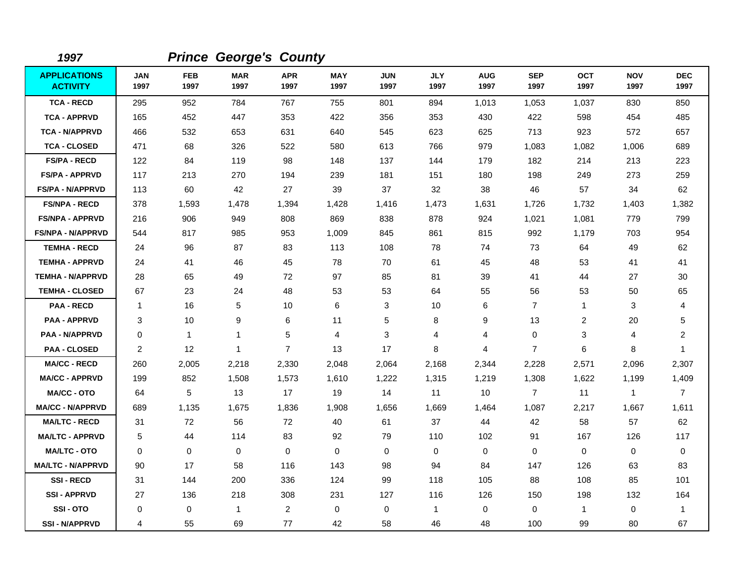| 1997                                   |                    |                    | <b>Prince George's County</b> |                    |                    |                    |                    |                    |                    |                    |                    |                    |
|----------------------------------------|--------------------|--------------------|-------------------------------|--------------------|--------------------|--------------------|--------------------|--------------------|--------------------|--------------------|--------------------|--------------------|
| <b>APPLICATIONS</b><br><b>ACTIVITY</b> | <b>JAN</b><br>1997 | <b>FEB</b><br>1997 | <b>MAR</b><br>1997            | <b>APR</b><br>1997 | <b>MAY</b><br>1997 | <b>JUN</b><br>1997 | <b>JLY</b><br>1997 | <b>AUG</b><br>1997 | <b>SEP</b><br>1997 | <b>OCT</b><br>1997 | <b>NOV</b><br>1997 | <b>DEC</b><br>1997 |
| <b>TCA - RECD</b>                      | 295                | 952                | 784                           | 767                | 755                | 801                | 894                | 1,013              | 1,053              | 1,037              | 830                | 850                |
| <b>TCA - APPRVD</b>                    | 165                | 452                | 447                           | 353                | 422                | 356                | 353                | 430                | 422                | 598                | 454                | 485                |
| <b>TCA - N/APPRVD</b>                  | 466                | 532                | 653                           | 631                | 640                | 545                | 623                | 625                | 713                | 923                | 572                | 657                |
| <b>TCA - CLOSED</b>                    | 471                | 68                 | 326                           | 522                | 580                | 613                | 766                | 979                | 1,083              | 1,082              | 1,006              | 689                |
| <b>FS/PA - RECD</b>                    | 122                | 84                 | 119                           | 98                 | 148                | 137                | 144                | 179                | 182                | 214                | 213                | 223                |
| <b>FS/PA - APPRVD</b>                  | 117                | 213                | 270                           | 194                | 239                | 181                | 151                | 180                | 198                | 249                | 273                | 259                |
| <b>FS/PA - N/APPRVD</b>                | 113                | 60                 | 42                            | 27                 | 39                 | 37                 | 32                 | 38                 | 46                 | 57                 | 34                 | 62                 |
| <b>FS/NPA - RECD</b>                   | 378                | 1,593              | 1,478                         | 1,394              | 1,428              | 1,416              | 1,473              | 1,631              | 1,726              | 1,732              | 1,403              | 1,382              |
| <b>FS/NPA - APPRVD</b>                 | 216                | 906                | 949                           | 808                | 869                | 838                | 878                | 924                | 1,021              | 1,081              | 779                | 799                |
| <b>FS/NPA - N/APPRVD</b>               | 544                | 817                | 985                           | 953                | 1,009              | 845                | 861                | 815                | 992                | 1,179              | 703                | 954                |
| <b>TEMHA - RECD</b>                    | 24                 | 96                 | 87                            | 83                 | 113                | 108                | 78                 | 74                 | 73                 | 64                 | 49                 | 62                 |
| <b>TEMHA - APPRVD</b>                  | 24                 | 41                 | 46                            | 45                 | 78                 | 70                 | 61                 | 45                 | 48                 | 53                 | 41                 | 41                 |
| <b>TEMHA - N/APPRVD</b>                | 28                 | 65                 | 49                            | 72                 | 97                 | 85                 | 81                 | 39                 | 41                 | 44                 | 27                 | 30                 |
| <b>TEMHA - CLOSED</b>                  | 67                 | 23                 | 24                            | 48                 | 53                 | 53                 | 64                 | 55                 | 56                 | 53                 | 50                 | 65                 |
| <b>PAA - RECD</b>                      | $\mathbf{1}$       | 16                 | 5                             | 10                 | 6                  | 3                  | 10                 | 6                  | $\overline{7}$     | $\mathbf{1}$       | 3                  | 4                  |
| <b>PAA - APPRVD</b>                    | 3                  | 10                 | 9                             | 6                  | 11                 | 5                  | 8                  | 9                  | 13                 | 2                  | 20                 | 5                  |
| <b>PAA - N/APPRVD</b>                  | $\mathbf 0$        | $\mathbf{1}$       | $\mathbf{1}$                  | 5                  | 4                  | 3                  | 4                  | 4                  | $\mathbf 0$        | 3                  | 4                  | $\overline{a}$     |
| <b>PAA - CLOSED</b>                    | $\overline{c}$     | 12                 | $\mathbf{1}$                  | $\overline{7}$     | 13                 | 17                 | 8                  | 4                  | $\overline{7}$     | 6                  | 8                  | $\mathbf{1}$       |
| <b>MA/CC - RECD</b>                    | 260                | 2,005              | 2,218                         | 2,330              | 2,048              | 2,064              | 2,168              | 2,344              | 2,228              | 2,571              | 2,096              | 2,307              |
| <b>MA/CC - APPRVD</b>                  | 199                | 852                | 1,508                         | 1,573              | 1,610              | 1,222              | 1,315              | 1,219              | 1,308              | 1,622              | 1,199              | 1,409              |
| <b>MA/CC - OTO</b>                     | 64                 | 5                  | 13                            | 17                 | 19                 | 14                 | 11                 | 10                 | $\overline{7}$     | 11                 | $\mathbf{1}$       | $\overline{7}$     |
| <b>MA/CC - N/APPRVD</b>                | 689                | 1,135              | 1,675                         | 1,836              | 1,908              | 1,656              | 1,669              | 1,464              | 1,087              | 2,217              | 1,667              | 1,611              |
| <b>MA/LTC - RECD</b>                   | 31                 | 72                 | 56                            | 72                 | 40                 | 61                 | 37                 | 44                 | 42                 | 58                 | 57                 | 62                 |
| <b>MA/LTC - APPRVD</b>                 | 5                  | 44                 | 114                           | 83                 | 92                 | 79                 | 110                | 102                | 91                 | 167                | 126                | 117                |
| <b>MA/LTC - OTO</b>                    | $\Omega$           | 0                  | $\mathbf 0$                   | 0                  | $\mathbf 0$        | 0                  | $\mathbf 0$        | 0                  | 0                  | 0                  | $\mathbf 0$        | $\mathbf 0$        |
| <b>MA/LTC - N/APPRVD</b>               | 90                 | 17                 | 58                            | 116                | 143                | 98                 | 94                 | 84                 | 147                | 126                | 63                 | 83                 |
| <b>SSI-RECD</b>                        | 31                 | 144                | 200                           | 336                | 124                | 99                 | 118                | 105                | 88                 | 108                | 85                 | 101                |
| <b>SSI - APPRVD</b>                    | 27                 | 136                | 218                           | 308                | 231                | 127                | 116                | 126                | 150                | 198                | 132                | 164                |
| SSI-OTO                                | 0                  | 0                  | $\mathbf{1}$                  | $\overline{2}$     | $\mathbf 0$        | 0                  | $\mathbf{1}$       | 0                  | 0                  | $\mathbf{1}$       | $\mathbf 0$        | 1                  |
| <b>SSI - N/APPRVD</b>                  | 4                  | 55                 | 69                            | 77                 | 42                 | 58                 | 46                 | 48                 | 100                | 99                 | 80                 | 67                 |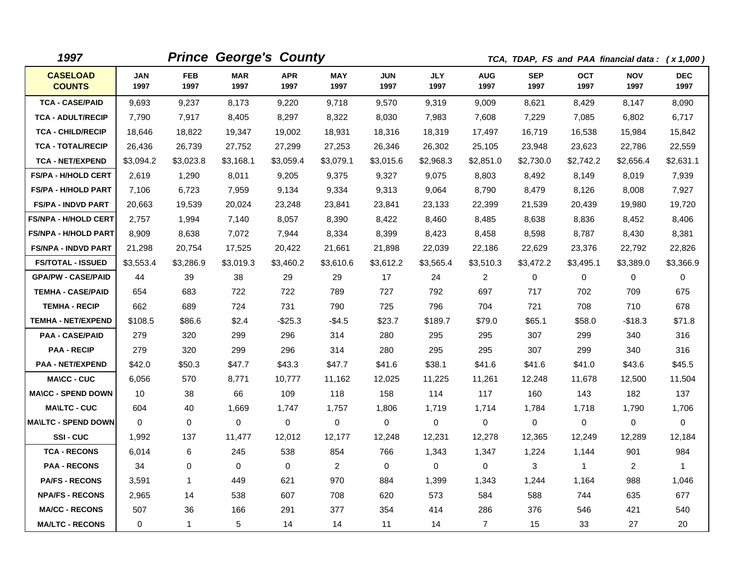| 1997                             | <b>Prince George's County</b><br>TCA, TDAP, FS and PAA financial data: (x 1,000) |                    |                    |                    |                    |                    |                    |                    |                    |              |                    |                    |
|----------------------------------|----------------------------------------------------------------------------------|--------------------|--------------------|--------------------|--------------------|--------------------|--------------------|--------------------|--------------------|--------------|--------------------|--------------------|
| <b>CASELOAD</b><br><b>COUNTS</b> | <b>JAN</b><br>1997                                                               | <b>FEB</b><br>1997 | <b>MAR</b><br>1997 | <b>APR</b><br>1997 | <b>MAY</b><br>1997 | <b>JUN</b><br>1997 | <b>JLY</b><br>1997 | <b>AUG</b><br>1997 | <b>SEP</b><br>1997 | OCT<br>1997  | <b>NOV</b><br>1997 | <b>DEC</b><br>1997 |
| <b>TCA - CASE/PAID</b>           | 9,693                                                                            | 9,237              | 8,173              | 9,220              | 9,718              | 9,570              | 9,319              | 9,009              | 8,621              | 8,429        | 8,147              | 8,090              |
| <b>TCA - ADULT/RECIP</b>         | 7,790                                                                            | 7,917              | 8,405              | 8,297              | 8,322              | 8,030              | 7,983              | 7,608              | 7,229              | 7,085        | 6,802              | 6,717              |
| <b>TCA - CHILD/RECIP</b>         | 18,646                                                                           | 18,822             | 19,347             | 19,002             | 18,931             | 18,316             | 18,319             | 17,497             | 16,719             | 16,538       | 15,984             | 15,842             |
| <b>TCA - TOTAL/RECIP</b>         | 26,436                                                                           | 26,739             | 27,752             | 27,299             | 27,253             | 26,346             | 26,302             | 25,105             | 23,948             | 23,623       | 22,786             | 22,559             |
| <b>TCA - NET/EXPEND</b>          | \$3,094.2                                                                        | \$3,023.8          | \$3,168.1          | \$3,059.4          | \$3,079.1          | \$3,015.6          | \$2,968.3          | \$2,851.0          | \$2,730.0          | \$2,742.2    | \$2,656.4          | \$2,631.1          |
| <b>FS/PA - H/HOLD CERT</b>       | 2,619                                                                            | 1,290              | 8,011              | 9,205              | 9,375              | 9,327              | 9,075              | 8,803              | 8,492              | 8,149        | 8,019              | 7,939              |
| <b>FS/PA - H/HOLD PART</b>       | 7,106                                                                            | 6,723              | 7,959              | 9,134              | 9,334              | 9,313              | 9,064              | 8,790              | 8,479              | 8,126        | 8,008              | 7,927              |
| <b>FS/PA - INDVD PART</b>        | 20,663                                                                           | 19,539             | 20,024             | 23,248             | 23,841             | 23,841             | 23,133             | 22,399             | 21,539             | 20,439       | 19,980             | 19,720             |
| <b>FS/NPA - H/HOLD CERT</b>      | 2,757                                                                            | 1,994              | 7,140              | 8,057              | 8,390              | 8,422              | 8,460              | 8,485              | 8,638              | 8,836        | 8,452              | 8,406              |
| <b>FS/NPA - H/HOLD PART</b>      | 8,909                                                                            | 8,638              | 7,072              | 7,944              | 8,334              | 8,399              | 8,423              | 8,458              | 8,598              | 8,787        | 8,430              | 8,381              |
| <b>FS/NPA - INDVD PART</b>       | 21,298                                                                           | 20,754             | 17,525             | 20,422             | 21,661             | 21,898             | 22,039             | 22,186             | 22,629             | 23,376       | 22,792             | 22,826             |
| <b>FS/TOTAL - ISSUED</b>         | \$3,553.4                                                                        | \$3,286.9          | \$3,019.3          | \$3,460.2          | \$3,610.6          | \$3,612.2          | \$3,565.4          | \$3,510.3          | \$3,472.2          | \$3,495.1    | \$3,389.0          | \$3,366.9          |
| <b>GPA/PW - CASE/PAID</b>        | 44                                                                               | 39                 | 38                 | 29                 | 29                 | 17                 | 24                 | 2                  | 0                  | 0            | 0                  | 0                  |
| <b>TEMHA - CASE/PAID</b>         | 654                                                                              | 683                | 722                | 722                | 789                | 727                | 792                | 697                | 717                | 702          | 709                | 675                |
| <b>TEMHA - RECIP</b>             | 662                                                                              | 689                | 724                | 731                | 790                | 725                | 796                | 704                | 721                | 708          | 710                | 678                |
| <b>TEMHA - NET/EXPEND</b>        | \$108.5                                                                          | \$86.6             | \$2.4              | $-$25.3$           | $-$4.5$            | \$23.7             | \$189.7            | \$79.0             | \$65.1             | \$58.0       | $-$18.3$           | \$71.8             |
| <b>PAA - CASE/PAID</b>           | 279                                                                              | 320                | 299                | 296                | 314                | 280                | 295                | 295                | 307                | 299          | 340                | 316                |
| <b>PAA - RECIP</b>               | 279                                                                              | 320                | 299                | 296                | 314                | 280                | 295                | 295                | 307                | 299          | 340                | 316                |
| <b>PAA - NET/EXPEND</b>          | \$42.0                                                                           | \$50.3             | \$47.7             | \$43.3             | \$47.7             | \$41.6             | \$38.1             | \$41.6             | \$41.6             | \$41.0       | \$43.6             | \$45.5             |
| <b>MA\CC - CUC</b>               | 6,056                                                                            | 570                | 8,771              | 10,777             | 11,162             | 12,025             | 11,225             | 11,261             | 12,248             | 11,678       | 12,500             | 11,504             |
| <b>MA\CC - SPEND DOWN</b>        | 10                                                                               | 38                 | 66                 | 109                | 118                | 158                | 114                | 117                | 160                | 143          | 182                | 137                |
| <b>MAILTC - CUC</b>              | 604                                                                              | 40                 | 1.669              | 1.747              | 1,757              | 1.806              | 1,719              | 1,714              | 1.784              | 1.718        | 1,790              | 1,706              |
| <b>MA\LTC - SPEND DOWN</b>       | $\Omega$                                                                         | $\mathbf 0$        | 0                  | $\mathbf 0$        | 0                  | $\mathbf 0$        | $\mathbf 0$        | 0                  | 0                  | $\mathbf 0$  | 0                  | $\mathbf 0$        |
| <b>SSI-CUC</b>                   | 1,992                                                                            | 137                | 11,477             | 12,012             | 12,177             | 12,248             | 12,231             | 12,278             | 12,365             | 12,249       | 12,289             | 12,184             |
| <b>TCA - RECONS</b>              | 6,014                                                                            | 6                  | 245                | 538                | 854                | 766                | 1,343              | 1,347              | 1,224              | 1,144        | 901                | 984                |
| <b>PAA - RECONS</b>              | 34                                                                               | 0                  | $\mathbf 0$        | $\mathbf 0$        | $\overline{2}$     | $\Omega$           | 0                  | $\mathbf 0$        | 3                  | $\mathbf{1}$ | $\overline{2}$     | 1                  |
| <b>PA/FS - RECONS</b>            | 3,591                                                                            | $\mathbf{1}$       | 449                | 621                | 970                | 884                | 1,399              | 1,343              | 1,244              | 1,164        | 988                | 1,046              |
| <b>NPA/FS - RECONS</b>           | 2,965                                                                            | 14                 | 538                | 607                | 708                | 620                | 573                | 584                | 588                | 744          | 635                | 677                |
| <b>MA/CC - RECONS</b>            | 507                                                                              | 36                 | 166                | 291                | 377                | 354                | 414                | 286                | 376                | 546          | 421                | 540                |
| <b>MA/LTC - RECONS</b>           | $\Omega$                                                                         | $\mathbf{1}$       | 5                  | 14                 | 14                 | 11                 | 14                 | $\overline{7}$     | 15                 | 33           | 27                 | 20                 |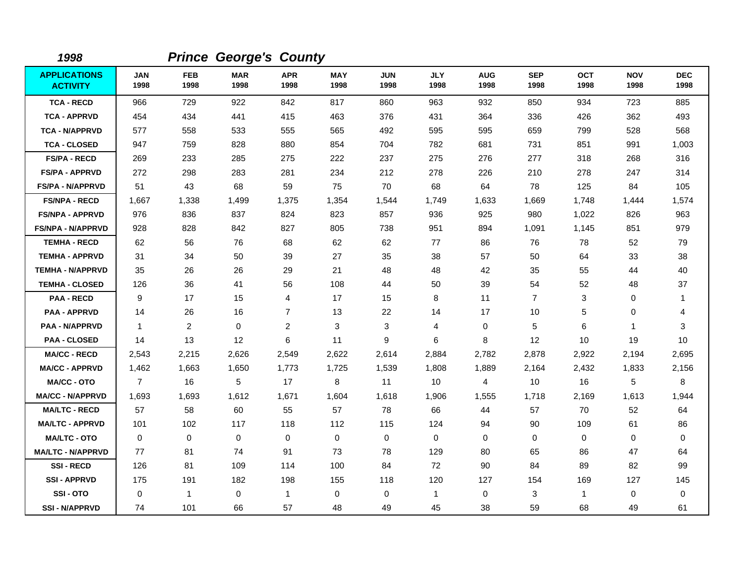| 1998                                   |                    |                    | <b>Prince George's County</b> |                    |                    |                    |                    |                    |                    |                    |                    |                    |
|----------------------------------------|--------------------|--------------------|-------------------------------|--------------------|--------------------|--------------------|--------------------|--------------------|--------------------|--------------------|--------------------|--------------------|
| <b>APPLICATIONS</b><br><b>ACTIVITY</b> | <b>JAN</b><br>1998 | <b>FEB</b><br>1998 | <b>MAR</b><br>1998            | <b>APR</b><br>1998 | <b>MAY</b><br>1998 | <b>JUN</b><br>1998 | <b>JLY</b><br>1998 | <b>AUG</b><br>1998 | <b>SEP</b><br>1998 | <b>OCT</b><br>1998 | <b>NOV</b><br>1998 | <b>DEC</b><br>1998 |
| <b>TCA - RECD</b>                      | 966                | 729                | 922                           | 842                | 817                | 860                | 963                | 932                | 850                | 934                | 723                | 885                |
| <b>TCA - APPRVD</b>                    | 454                | 434                | 441                           | 415                | 463                | 376                | 431                | 364                | 336                | 426                | 362                | 493                |
| <b>TCA - N/APPRVD</b>                  | 577                | 558                | 533                           | 555                | 565                | 492                | 595                | 595                | 659                | 799                | 528                | 568                |
| <b>TCA - CLOSED</b>                    | 947                | 759                | 828                           | 880                | 854                | 704                | 782                | 681                | 731                | 851                | 991                | 1,003              |
| <b>FS/PA - RECD</b>                    | 269                | 233                | 285                           | 275                | 222                | 237                | 275                | 276                | 277                | 318                | 268                | 316                |
| <b>FS/PA - APPRVD</b>                  | 272                | 298                | 283                           | 281                | 234                | 212                | 278                | 226                | 210                | 278                | 247                | 314                |
| <b>FS/PA - N/APPRVD</b>                | 51                 | 43                 | 68                            | 59                 | 75                 | 70                 | 68                 | 64                 | 78                 | 125                | 84                 | 105                |
| <b>FS/NPA - RECD</b>                   | 1,667              | 1,338              | 1,499                         | 1,375              | 1,354              | 1,544              | 1,749              | 1,633              | 1,669              | 1,748              | 1,444              | 1,574              |
| <b>FS/NPA - APPRVD</b>                 | 976                | 836                | 837                           | 824                | 823                | 857                | 936                | 925                | 980                | 1,022              | 826                | 963                |
| <b>FS/NPA - N/APPRVD</b>               | 928                | 828                | 842                           | 827                | 805                | 738                | 951                | 894                | 1,091              | 1,145              | 851                | 979                |
| <b>TEMHA - RECD</b>                    | 62                 | 56                 | 76                            | 68                 | 62                 | 62                 | 77                 | 86                 | 76                 | 78                 | 52                 | 79                 |
| <b>TEMHA - APPRVD</b>                  | 31                 | 34                 | 50                            | 39                 | 27                 | 35                 | 38                 | 57                 | 50                 | 64                 | 33                 | 38                 |
| <b>TEMHA - N/APPRVD</b>                | 35                 | 26                 | 26                            | 29                 | 21                 | 48                 | 48                 | 42                 | 35                 | 55                 | 44                 | 40                 |
| <b>TEMHA - CLOSED</b>                  | 126                | 36                 | 41                            | 56                 | 108                | 44                 | 50                 | 39                 | 54                 | 52                 | 48                 | 37                 |
| <b>PAA - RECD</b>                      | 9                  | 17                 | 15                            | 4                  | 17                 | 15                 | 8                  | 11                 | $\overline{7}$     | 3                  | 0                  | 1                  |
| <b>PAA - APPRVD</b>                    | 14                 | 26                 | 16                            | $\overline{7}$     | 13                 | 22                 | 14                 | 17                 | 10                 | 5                  | 0                  | 4                  |
| <b>PAA - N/APPRVD</b>                  | $\mathbf{1}$       | 2                  | $\Omega$                      | $\overline{c}$     | 3                  | 3                  | 4                  | 0                  | 5                  | 6                  | $\mathbf 1$        | 3                  |
| <b>PAA - CLOSED</b>                    | 14                 | 13                 | $12 \overline{ }$             | 6                  | 11                 | 9                  | 6                  | 8                  | $12 \overline{ }$  | 10                 | 19                 | 10                 |
| <b>MA/CC - RECD</b>                    | 2,543              | 2,215              | 2,626                         | 2,549              | 2,622              | 2,614              | 2,884              | 2,782              | 2,878              | 2,922              | 2,194              | 2,695              |
| <b>MA/CC - APPRVD</b>                  | 1,462              | 1,663              | 1,650                         | 1,773              | 1,725              | 1,539              | 1,808              | 1,889              | 2,164              | 2,432              | 1,833              | 2,156              |
| <b>MA/CC - OTO</b>                     | $\overline{7}$     | 16                 | 5                             | 17                 | 8                  | 11                 | 10                 | 4                  | 10                 | 16                 | 5                  | 8                  |
| <b>MA/CC - N/APPRVD</b>                | 1,693              | 1,693              | 1,612                         | 1,671              | 1,604              | 1,618              | 1,906              | 1,555              | 1,718              | 2,169              | 1,613              | 1,944              |
| <b>MA/LTC - RECD</b>                   | 57                 | 58                 | 60                            | 55                 | 57                 | 78                 | 66                 | 44                 | 57                 | 70                 | 52                 | 64                 |
| <b>MA/LTC - APPRVD</b>                 | 101                | 102                | 117                           | 118                | 112                | 115                | 124                | 94                 | 90                 | 109                | 61                 | 86                 |
| <b>MA/LTC - OTO</b>                    | $\mathbf 0$        | $\mathbf 0$        | $\mathbf 0$                   | $\mathbf 0$        | 0                  | 0                  | 0                  | 0                  | $\mathbf 0$        | $\mathbf 0$        | 0                  | 0                  |
| <b>MA/LTC - N/APPRVD</b>               | 77                 | 81                 | 74                            | 91                 | 73                 | 78                 | 129                | 80                 | 65                 | 86                 | 47                 | 64                 |
| <b>SSI-RECD</b>                        | 126                | 81                 | 109                           | 114                | 100                | 84                 | 72                 | 90                 | 84                 | 89                 | 82                 | 99                 |
| <b>SSI-APPRVD</b>                      | 175                | 191                | 182                           | 198                | 155                | 118                | 120                | 127                | 154                | 169                | 127                | 145                |
| SSI-OTO                                | 0                  | $\mathbf{1}$       | $\mathbf 0$                   | $\mathbf{1}$       | 0                  | $\mathbf 0$        | $\mathbf{1}$       | 0                  | 3                  | $\mathbf{1}$       | 0                  | 0                  |
| <b>SSI - N/APPRVD</b>                  | 74                 | 101                | 66                            | 57                 | 48                 | 49                 | 45                 | 38                 | 59                 | 68                 | 49                 | 61                 |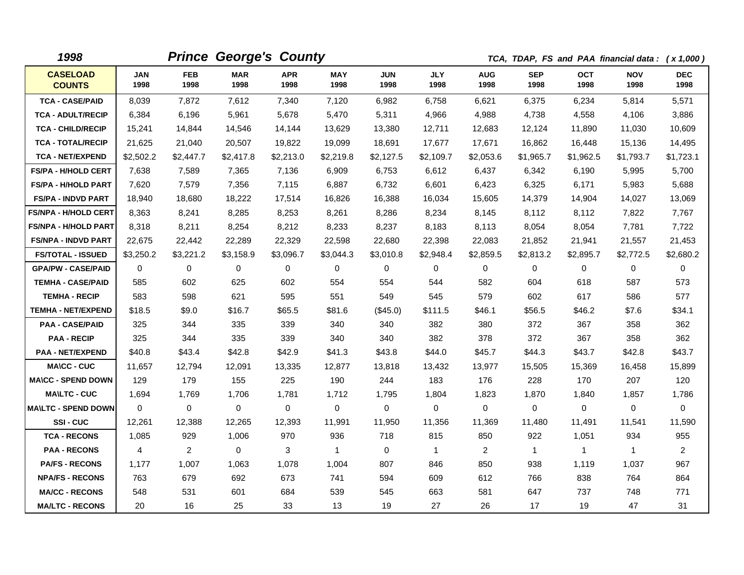| 1998                             |                    |                    | <b>Prince George's County</b> |                    |                    |                    |                    |                    |                    | TCA, TDAP, FS and PAA financial data: (x 1,000) |                    |                    |
|----------------------------------|--------------------|--------------------|-------------------------------|--------------------|--------------------|--------------------|--------------------|--------------------|--------------------|-------------------------------------------------|--------------------|--------------------|
| <b>CASELOAD</b><br><b>COUNTS</b> | <b>JAN</b><br>1998 | <b>FEB</b><br>1998 | <b>MAR</b><br>1998            | <b>APR</b><br>1998 | <b>MAY</b><br>1998 | <b>JUN</b><br>1998 | <b>JLY</b><br>1998 | <b>AUG</b><br>1998 | <b>SEP</b><br>1998 | <b>OCT</b><br>1998                              | <b>NOV</b><br>1998 | <b>DEC</b><br>1998 |
| <b>TCA - CASE/PAID</b>           | 8,039              | 7,872              | 7,612                         | 7,340              | 7,120              | 6.982              | 6,758              | 6,621              | 6.375              | 6,234                                           | 5,814              | 5,571              |
| <b>TCA - ADULT/RECIP</b>         | 6,384              | 6,196              | 5,961                         | 5,678              | 5,470              | 5,311              | 4,966              | 4,988              | 4,738              | 4,558                                           | 4,106              | 3,886              |
| <b>TCA - CHILD/RECIP</b>         | 15,241             | 14,844             | 14,546                        | 14,144             | 13,629             | 13,380             | 12,711             | 12,683             | 12,124             | 11,890                                          | 11,030             | 10,609             |
| <b>TCA - TOTAL/RECIP</b>         | 21,625             | 21,040             | 20,507                        | 19,822             | 19,099             | 18,691             | 17,677             | 17,671             | 16,862             | 16,448                                          | 15,136             | 14,495             |
| <b>TCA - NET/EXPEND</b>          | \$2,502.2          | \$2,447.7          | \$2,417.8                     | \$2,213.0          | \$2,219.8          | \$2,127.5          | \$2,109.7          | \$2,053.6          | \$1.965.7          | \$1.962.5                                       | \$1,793.7          | \$1,723.1          |
| <b>FS/PA - H/HOLD CERT</b>       | 7,638              | 7,589              | 7,365                         | 7,136              | 6,909              | 6,753              | 6,612              | 6,437              | 6,342              | 6,190                                           | 5,995              | 5,700              |
| <b>FS/PA - H/HOLD PART</b>       | 7,620              | 7,579              | 7,356                         | 7,115              | 6,887              | 6,732              | 6,601              | 6,423              | 6,325              | 6.171                                           | 5,983              | 5,688              |
| <b>FS/PA - INDVD PART</b>        | 18,940             | 18,680             | 18,222                        | 17,514             | 16,826             | 16,388             | 16,034             | 15,605             | 14,379             | 14,904                                          | 14,027             | 13,069             |
| <b>FS/NPA - H/HOLD CERT</b>      | 8,363              | 8,241              | 8,285                         | 8,253              | 8,261              | 8,286              | 8,234              | 8,145              | 8,112              | 8,112                                           | 7,822              | 7,767              |
| <b>FS/NPA - H/HOLD PART</b>      | 8,318              | 8,211              | 8,254                         | 8,212              | 8,233              | 8,237              | 8,183              | 8,113              | 8,054              | 8,054                                           | 7,781              | 7,722              |
| <b>FS/NPA - INDVD PART</b>       | 22,675             | 22,442             | 22,289                        | 22,329             | 22,598             | 22,680             | 22,398             | 22,083             | 21,852             | 21,941                                          | 21,557             | 21,453             |
| <b>FS/TOTAL - ISSUED</b>         | \$3,250.2          | \$3,221.2          | \$3,158.9                     | \$3,096.7          | \$3,044.3          | \$3,010.8          | \$2,948.4          | \$2,859.5          | \$2,813.2          | \$2,895.7                                       | \$2,772.5          | \$2,680.2          |
| <b>GPA/PW - CASE/PAID</b>        | 0                  | 0                  | $\Omega$                      | 0                  | 0                  | $\mathbf 0$        | 0                  | $\mathbf 0$        | $\Omega$           | $\mathbf 0$                                     | 0                  | $\mathbf 0$        |
| <b>TEMHA - CASE/PAID</b>         | 585                | 602                | 625                           | 602                | 554                | 554                | 544                | 582                | 604                | 618                                             | 587                | 573                |
| <b>TEMHA - RECIP</b>             | 583                | 598                | 621                           | 595                | 551                | 549                | 545                | 579                | 602                | 617                                             | 586                | 577                |
| <b>TEMHA - NET/EXPEND</b>        | \$18.5             | \$9.0              | \$16.7                        | \$65.5             | \$81.6             | $(\$45.0)$         | \$111.5            | \$46.1             | \$56.5             | \$46.2                                          | \$7.6              | \$34.1             |
| <b>PAA - CASE/PAID</b>           | 325                | 344                | 335                           | 339                | 340                | 340                | 382                | 380                | 372                | 367                                             | 358                | 362                |
| <b>PAA - RECIP</b>               | 325                | 344                | 335                           | 339                | 340                | 340                | 382                | 378                | 372                | 367                                             | 358                | 362                |
| <b>PAA - NET/EXPEND</b>          | \$40.8             | \$43.4             | \$42.8                        | \$42.9             | \$41.3             | \$43.8             | \$44.0             | \$45.7             | \$44.3             | \$43.7                                          | \$42.8             | \$43.7             |
| <b>MA\CC - CUC</b>               | 11,657             | 12,794             | 12,091                        | 13,335             | 12,877             | 13,818             | 13,432             | 13,977             | 15,505             | 15,369                                          | 16,458             | 15,899             |
| <b>MA\CC - SPEND DOWN</b>        | 129                | 179                | 155                           | 225                | 190                | 244                | 183                | 176                | 228                | 170                                             | 207                | 120                |
| <b>MAILTC - CUC</b>              | 1,694              | 1,769              | 1,706                         | 1,781              | 1,712              | 1,795              | 1,804              | 1,823              | 1,870              | 1,840                                           | 1,857              | 1,786              |
| <b>MA\LTC - SPEND DOWN</b>       | $\mathbf{0}$       | 0                  | 0                             | 0                  | 0                  | 0                  | $\mathbf 0$        | 0                  | 0                  | $\mathbf 0$                                     | 0                  | 0                  |
| SSI-CUC                          | 12,261             | 12,388             | 12,265                        | 12,393             | 11,991             | 11,950             | 11,356             | 11,369             | 11,480             | 11,491                                          | 11,541             | 11,590             |
| <b>TCA - RECONS</b>              | 1,085              | 929                | 1,006                         | 970                | 936                | 718                | 815                | 850                | 922                | 1,051                                           | 934                | 955                |
| <b>PAA - RECONS</b>              | 4                  | $\overline{2}$     | $\Omega$                      | 3                  | $\mathbf{1}$       | 0                  | $\mathbf{1}$       | $\overline{2}$     | $\mathbf 1$        | $\mathbf{1}$                                    | $\mathbf{1}$       | $\overline{2}$     |
| <b>PA/FS - RECONS</b>            | 1,177              | 1,007              | 1,063                         | 1,078              | 1,004              | 807                | 846                | 850                | 938                | 1,119                                           | 1,037              | 967                |
| <b>NPA/FS - RECONS</b>           | 763                | 679                | 692                           | 673                | 741                | 594                | 609                | 612                | 766                | 838                                             | 764                | 864                |
| <b>MA/CC - RECONS</b>            | 548                | 531                | 601                           | 684                | 539                | 545                | 663                | 581                | 647                | 737                                             | 748                | 771                |
| <b>MA/LTC - RECONS</b>           | 20                 | 16                 | 25                            | 33                 | 13                 | 19                 | 27                 | 26                 | 17                 | 19                                              | 47                 | 31                 |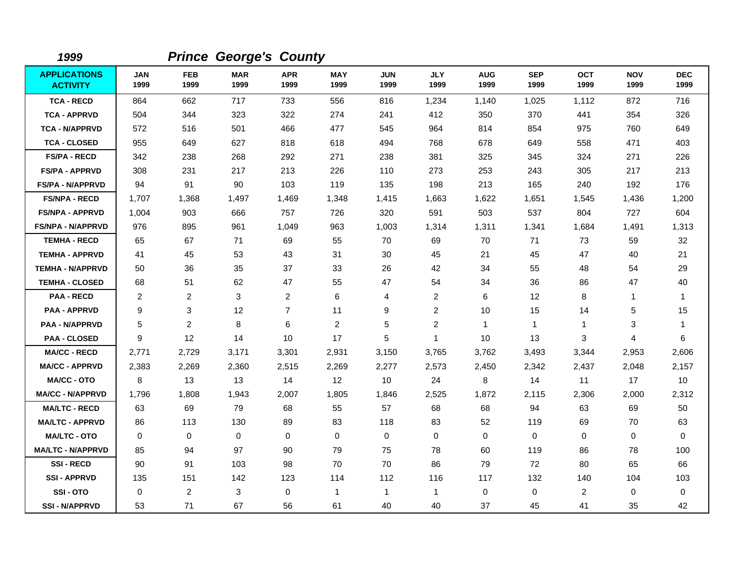| 1999                                   |                    |                    | <b>Prince George's County</b> |                    |                    |                    |                      |                    |                    |                    |                    |                    |
|----------------------------------------|--------------------|--------------------|-------------------------------|--------------------|--------------------|--------------------|----------------------|--------------------|--------------------|--------------------|--------------------|--------------------|
| <b>APPLICATIONS</b><br><b>ACTIVITY</b> | <b>JAN</b><br>1999 | <b>FEB</b><br>1999 | <b>MAR</b><br>1999            | <b>APR</b><br>1999 | <b>MAY</b><br>1999 | <b>JUN</b><br>1999 | <b>JLY</b><br>1999   | <b>AUG</b><br>1999 | <b>SEP</b><br>1999 | <b>OCT</b><br>1999 | <b>NOV</b><br>1999 | <b>DEC</b><br>1999 |
| <b>TCA - RECD</b>                      | 864                | 662                | 717                           | 733                | 556                | 816                | 1,234                | 1,140              | 1,025              | 1,112              | 872                | 716                |
| <b>TCA - APPRVD</b>                    | 504                | 344                | 323                           | 322                | 274                | 241                | 412                  | 350                | 370                | 441                | 354                | 326                |
| <b>TCA - N/APPRVD</b>                  | 572                | 516                | 501                           | 466                | 477                | 545                | 964                  | 814                | 854                | 975                | 760                | 649                |
| <b>TCA - CLOSED</b>                    | 955                | 649                | 627                           | 818                | 618                | 494                | 768                  | 678                | 649                | 558                | 471                | 403                |
| <b>FS/PA - RECD</b>                    | 342                | 238                | 268                           | 292                | 271                | 238                | 381                  | 325                | 345                | 324                | 271                | 226                |
| <b>FS/PA - APPRVD</b>                  | 308                | 231                | 217                           | 213                | 226                | 110                | 273                  | 253                | 243                | 305                | 217                | 213                |
| <b>FS/PA - N/APPRVD</b>                | 94                 | 91                 | 90                            | 103                | 119                | 135                | 198                  | 213                | 165                | 240                | 192                | 176                |
| <b>FS/NPA - RECD</b>                   | 1,707              | 1,368              | 1,497                         | 1,469              | 1,348              | 1,415              | 1,663                | 1,622              | 1,651              | 1,545              | 1,436              | 1,200              |
| <b>FS/NPA - APPRVD</b>                 | 1,004              | 903                | 666                           | 757                | 726                | 320                | 591                  | 503                | 537                | 804                | 727                | 604                |
| <b>FS/NPA - N/APPRVD</b>               | 976                | 895                | 961                           | 1,049              | 963                | 1,003              | 1,314                | 1,311              | 1,341              | 1,684              | 1,491              | 1,313              |
| <b>TEMHA - RECD</b>                    | 65                 | 67                 | 71                            | 69                 | 55                 | 70                 | 69                   | 70                 | 71                 | 73                 | 59                 | 32                 |
| <b>TEMHA - APPRVD</b>                  | 41                 | 45                 | 53                            | 43                 | 31                 | 30                 | 45                   | 21                 | 45                 | 47                 | 40                 | 21                 |
| <b>TEMHA - N/APPRVD</b>                | 50                 | 36                 | 35                            | 37                 | 33                 | 26                 | 42                   | 34                 | 55                 | 48                 | 54                 | 29                 |
| <b>TEMHA - CLOSED</b>                  | 68                 | 51                 | 62                            | 47                 | 55                 | 47                 | 54                   | 34                 | 36                 | 86                 | 47                 | 40                 |
| <b>PAA - RECD</b>                      | $\overline{c}$     | 2                  | 3                             | $\overline{2}$     | 6                  | 4                  | $\overline{c}$       | 6                  | 12                 | 8                  | $\mathbf 1$        | $\mathbf{1}$       |
| <b>PAA - APPRVD</b>                    | 9                  | $\mathbf{3}$       | 12                            | $\overline{7}$     | 11                 | 9                  | $\overline{2}$       | 10                 | 15                 | 14                 | $\sqrt{5}$         | 15                 |
| PAA - N/APPRVD                         | 5                  | $\overline{c}$     | 8                             | 6                  | $\overline{c}$     | 5                  | $\overline{2}$       | $\mathbf{1}$       | $\mathbf{1}$       | $\mathbf{1}$       | 3                  | $\mathbf{1}$       |
| <b>PAA - CLOSED</b>                    | 9                  | 12                 | 14                            | 10                 | 17                 | 5                  | $\blacktriangleleft$ | 10                 | 13                 | 3                  | 4                  | 6                  |
| <b>MA/CC - RECD</b>                    | 2,771              | 2,729              | 3,171                         | 3,301              | 2,931              | 3,150              | 3,765                | 3,762              | 3,493              | 3,344              | 2,953              | 2,606              |
| <b>MA/CC - APPRVD</b>                  | 2,383              | 2,269              | 2,360                         | 2,515              | 2,269              | 2,277              | 2,573                | 2,450              | 2,342              | 2,437              | 2,048              | 2,157              |
| <b>MA/CC - OTO</b>                     | 8                  | 13                 | 13                            | 14                 | 12                 | 10                 | 24                   | 8                  | 14                 | 11                 | 17                 | 10                 |
| <b>MA/CC - N/APPRVD</b>                | 1,796              | 1,808              | 1,943                         | 2,007              | 1,805              | 1,846              | 2,525                | 1,872              | 2,115              | 2,306              | 2,000              | 2,312              |
| <b>MA/LTC - RECD</b>                   | 63                 | 69                 | 79                            | 68                 | 55                 | 57                 | 68                   | 68                 | 94                 | 63                 | 69                 | 50                 |
| <b>MA/LTC - APPRVD</b>                 | 86                 | 113                | 130                           | 89                 | 83                 | 118                | 83                   | 52                 | 119                | 69                 | 70                 | 63                 |
| <b>MA/LTC - OTO</b>                    | $\Omega$           | $\mathbf 0$        | 0                             | $\Omega$           | 0                  | $\mathbf 0$        | $\Omega$             | $\mathbf 0$        | $\mathbf 0$        | $\Omega$           | $\mathbf 0$        | 0                  |
| <b>MA/LTC - N/APPRVD</b>               | 85                 | 94                 | 97                            | 90                 | 79                 | 75                 | 78                   | 60                 | 119                | 86                 | 78                 | 100                |
| <b>SSI-RECD</b>                        | 90                 | 91                 | 103                           | 98                 | 70                 | 70                 | 86                   | 79                 | 72                 | 80                 | 65                 | 66                 |
| <b>SSI - APPRVD</b>                    | 135                | 151                | 142                           | 123                | 114                | 112                | 116                  | 117                | 132                | 140                | 104                | 103                |
| SSI-OTO                                | 0                  | 2                  | 3                             | $\mathbf 0$        | 1                  | $\mathbf{1}$       | $\mathbf{1}$         | 0                  | $\mathbf 0$        | $\overline{2}$     | $\mathbf 0$        | 0                  |
| <b>SSI - N/APPRVD</b>                  | 53                 | 71                 | 67                            | 56                 | 61                 | 40                 | 40                   | 37                 | 45                 | 41                 | 35                 | 42                 |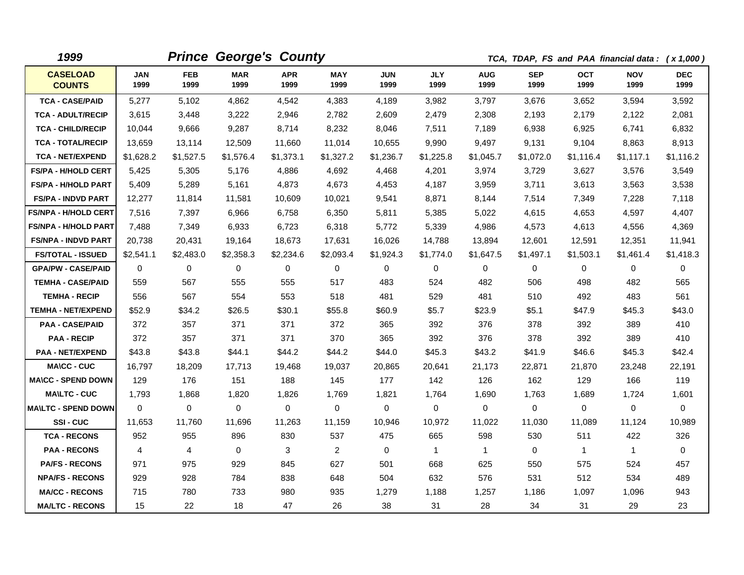| 1999                             |                    |                    | <b>Prince George's County</b> |                    |                    |                    |                    |                    |                    |                    | TCA, TDAP, FS and PAA financial data: (x 1,000) |                    |
|----------------------------------|--------------------|--------------------|-------------------------------|--------------------|--------------------|--------------------|--------------------|--------------------|--------------------|--------------------|-------------------------------------------------|--------------------|
| <b>CASELOAD</b><br><b>COUNTS</b> | <b>JAN</b><br>1999 | <b>FEB</b><br>1999 | <b>MAR</b><br>1999            | <b>APR</b><br>1999 | <b>MAY</b><br>1999 | <b>JUN</b><br>1999 | <b>JLY</b><br>1999 | <b>AUG</b><br>1999 | <b>SEP</b><br>1999 | <b>OCT</b><br>1999 | <b>NOV</b><br>1999                              | <b>DEC</b><br>1999 |
| <b>TCA - CASE/PAID</b>           | 5,277              | 5,102              | 4,862                         | 4,542              | 4,383              | 4.189              | 3,982              | 3,797              | 3.676              | 3,652              | 3,594                                           | 3,592              |
| <b>TCA - ADULT/RECIP</b>         | 3,615              | 3,448              | 3,222                         | 2,946              | 2,782              | 2,609              | 2,479              | 2,308              | 2,193              | 2,179              | 2,122                                           | 2,081              |
| <b>TCA - CHILD/RECIP</b>         | 10,044             | 9,666              | 9,287                         | 8,714              | 8,232              | 8,046              | 7,511              | 7,189              | 6,938              | 6,925              | 6,741                                           | 6,832              |
| <b>TCA - TOTAL/RECIP</b>         | 13,659             | 13,114             | 12,509                        | 11,660             | 11,014             | 10,655             | 9,990              | 9,497              | 9,131              | 9,104              | 8,863                                           | 8,913              |
| <b>TCA - NET/EXPEND</b>          | \$1,628.2          | \$1,527.5          | \$1,576.4                     | \$1,373.1          | \$1,327.2          | \$1,236.7          | \$1,225.8          | \$1,045.7          | \$1,072.0          | \$1,116.4          | \$1,117.1                                       | \$1,116.2          |
| <b>FS/PA - H/HOLD CERT</b>       | 5,425              | 5,305              | 5,176                         | 4,886              | 4,692              | 4,468              | 4,201              | 3,974              | 3,729              | 3,627              | 3,576                                           | 3,549              |
| <b>FS/PA - H/HOLD PART</b>       | 5,409              | 5,289              | 5,161                         | 4,873              | 4,673              | 4,453              | 4,187              | 3,959              | 3,711              | 3,613              | 3,563                                           | 3,538              |
| <b>FS/PA - INDVD PART</b>        | 12,277             | 11.814             | 11,581                        | 10,609             | 10,021             | 9,541              | 8.871              | 8,144              | 7,514              | 7,349              | 7,228                                           | 7,118              |
| <b>FS/NPA - H/HOLD CERT</b>      | 7,516              | 7,397              | 6,966                         | 6,758              | 6,350              | 5,811              | 5,385              | 5,022              | 4,615              | 4,653              | 4,597                                           | 4,407              |
| <b>FS/NPA - H/HOLD PART</b>      | 7,488              | 7,349              | 6,933                         | 6,723              | 6,318              | 5,772              | 5,339              | 4,986              | 4,573              | 4,613              | 4,556                                           | 4,369              |
| <b>FS/NPA - INDVD PART</b>       | 20,738             | 20,431             | 19,164                        | 18,673             | 17,631             | 16,026             | 14,788             | 13,894             | 12,601             | 12,591             | 12,351                                          | 11,941             |
| <b>FS/TOTAL - ISSUED</b>         | \$2,541.1          | \$2,483.0          | \$2,358.3                     | \$2,234.6          | \$2,093.4          | \$1,924.3          | \$1,774.0          | \$1,647.5          | \$1,497.1          | \$1,503.1          | \$1,461.4                                       | \$1,418.3          |
| <b>GPA/PW - CASE/PAID</b>        | $\Omega$           | $\Omega$           | 0                             | $\Omega$           | 0                  | $\Omega$           | 0                  | $\Omega$           | 0                  | $\Omega$           | 0                                               | 0                  |
| <b>TEMHA - CASE/PAID</b>         | 559                | 567                | 555                           | 555                | 517                | 483                | 524                | 482                | 506                | 498                | 482                                             | 565                |
| <b>TEMHA - RECIP</b>             | 556                | 567                | 554                           | 553                | 518                | 481                | 529                | 481                | 510                | 492                | 483                                             | 561                |
| <b>TEMHA - NET/EXPEND</b>        | \$52.9             | \$34.2             | \$26.5                        | \$30.1             | \$55.8             | \$60.9             | \$5.7              | \$23.9             | \$5.1              | \$47.9             | \$45.3                                          | \$43.0             |
| <b>PAA - CASE/PAID</b>           | 372                | 357                | 371                           | 371                | 372                | 365                | 392                | 376                | 378                | 392                | 389                                             | 410                |
| <b>PAA - RECIP</b>               | 372                | 357                | 371                           | 371                | 370                | 365                | 392                | 376                | 378                | 392                | 389                                             | 410                |
| <b>PAA - NET/EXPEND</b>          | \$43.8             | \$43.8             | \$44.1                        | \$44.2             | \$44.2             | \$44.0             | \$45.3             | \$43.2             | \$41.9             | \$46.6             | \$45.3                                          | \$42.4             |
| <b>MA\CC - CUC</b>               | 16,797             | 18,209             | 17,713                        | 19,468             | 19,037             | 20,865             | 20,641             | 21,173             | 22,871             | 21,870             | 23,248                                          | 22,191             |
| <b>MA\CC - SPEND DOWN</b>        | 129                | 176                | 151                           | 188                | 145                | 177                | 142                | 126                | 162                | 129                | 166                                             | 119                |
| <b>MA\LTC - CUC</b>              | 1,793              | 1,868              | 1,820                         | 1,826              | 1,769              | 1,821              | 1,764              | 1,690              | 1,763              | 1,689              | 1,724                                           | 1,601              |
| <b>MAILTC - SPEND DOWN</b>       | $\Omega$           | 0                  | 0                             | $\Omega$           | 0                  | 0                  | 0                  | 0                  | $\Omega$           | 0                  | 0                                               | 0                  |
| SSI-CUC                          | 11,653             | 11,760             | 11,696                        | 11,263             | 11,159             | 10,946             | 10,972             | 11,022             | 11,030             | 11,089             | 11,124                                          | 10,989             |
| <b>TCA - RECONS</b>              | 952                | 955                | 896                           | 830                | 537                | 475                | 665                | 598                | 530                | 511                | 422                                             | 326                |
| <b>PAA - RECONS</b>              | 4                  | $\overline{4}$     | $\Omega$                      | 3                  | $\overline{2}$     | $\Omega$           | $\mathbf{1}$       | $\mathbf{1}$       | $\Omega$           | $\mathbf{1}$       | $\mathbf{1}$                                    | $\Omega$           |
| <b>PA/FS - RECONS</b>            | 971                | 975                | 929                           | 845                | 627                | 501                | 668                | 625                | 550                | 575                | 524                                             | 457                |
| <b>NPA/FS - RECONS</b>           | 929                | 928                | 784                           | 838                | 648                | 504                | 632                | 576                | 531                | 512                | 534                                             | 489                |
| <b>MA/CC - RECONS</b>            | 715                | 780                | 733                           | 980                | 935                | 1,279              | 1,188              | 1,257              | 1,186              | 1,097              | 1,096                                           | 943                |
| <b>MA/LTC - RECONS</b>           | 15                 | 22                 | 18                            | 47                 | 26                 | 38                 | 31                 | 28                 | 34                 | 31                 | 29                                              | 23                 |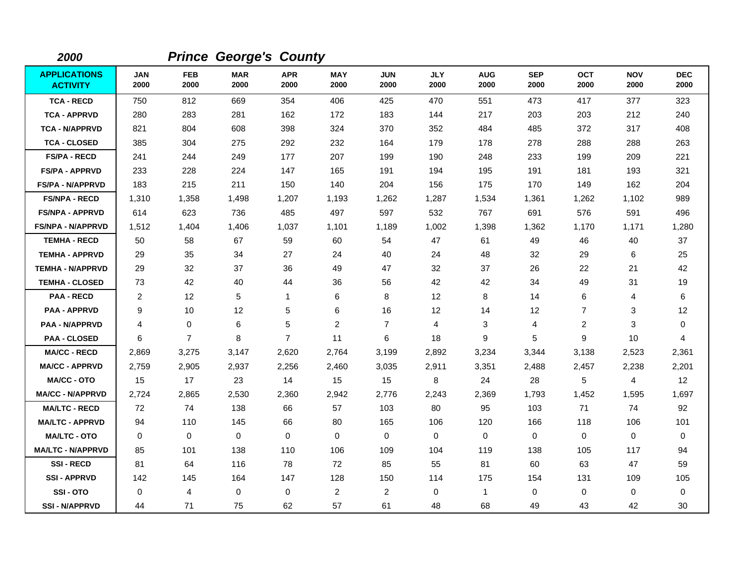| 2000                                   |                    |                    | <b>Prince George's County</b> |                    |                    |                    |                    |                    |                    |                    |                    |                    |
|----------------------------------------|--------------------|--------------------|-------------------------------|--------------------|--------------------|--------------------|--------------------|--------------------|--------------------|--------------------|--------------------|--------------------|
| <b>APPLICATIONS</b><br><b>ACTIVITY</b> | <b>JAN</b><br>2000 | <b>FEB</b><br>2000 | <b>MAR</b><br>2000            | <b>APR</b><br>2000 | <b>MAY</b><br>2000 | <b>JUN</b><br>2000 | <b>JLY</b><br>2000 | <b>AUG</b><br>2000 | <b>SEP</b><br>2000 | <b>OCT</b><br>2000 | <b>NOV</b><br>2000 | <b>DEC</b><br>2000 |
| <b>TCA - RECD</b>                      | 750                | 812                | 669                           | 354                | 406                | 425                | 470                | 551                | 473                | 417                | 377                | 323                |
| <b>TCA - APPRVD</b>                    | 280                | 283                | 281                           | 162                | 172                | 183                | 144                | 217                | 203                | 203                | 212                | 240                |
| <b>TCA - N/APPRVD</b>                  | 821                | 804                | 608                           | 398                | 324                | 370                | 352                | 484                | 485                | 372                | 317                | 408                |
| <b>TCA - CLOSED</b>                    | 385                | 304                | 275                           | 292                | 232                | 164                | 179                | 178                | 278                | 288                | 288                | 263                |
| <b>FS/PA - RECD</b>                    | 241                | 244                | 249                           | 177                | 207                | 199                | 190                | 248                | 233                | 199                | 209                | 221                |
| <b>FS/PA - APPRVD</b>                  | 233                | 228                | 224                           | 147                | 165                | 191                | 194                | 195                | 191                | 181                | 193                | 321                |
| <b>FS/PA - N/APPRVD</b>                | 183                | 215                | 211                           | 150                | 140                | 204                | 156                | 175                | 170                | 149                | 162                | 204                |
| <b>FS/NPA - RECD</b>                   | 1,310              | 1,358              | 1,498                         | 1,207              | 1,193              | 1,262              | 1,287              | 1,534              | 1,361              | 1,262              | 1,102              | 989                |
| <b>FS/NPA - APPRVD</b>                 | 614                | 623                | 736                           | 485                | 497                | 597                | 532                | 767                | 691                | 576                | 591                | 496                |
| <b>FS/NPA - N/APPRVD</b>               | 1,512              | 1,404              | 1,406                         | 1,037              | 1,101              | 1,189              | 1,002              | 1,398              | 1,362              | 1,170              | 1,171              | 1,280              |
| <b>TEMHA - RECD</b>                    | 50                 | 58                 | 67                            | 59                 | 60                 | 54                 | 47                 | 61                 | 49                 | 46                 | 40                 | 37                 |
| <b>TEMHA - APPRVD</b>                  | 29                 | 35                 | 34                            | 27                 | 24                 | 40                 | 24                 | 48                 | 32                 | 29                 | 6                  | 25                 |
| <b>TEMHA - N/APPRVD</b>                | 29                 | 32                 | 37                            | 36                 | 49                 | 47                 | 32                 | 37                 | 26                 | 22                 | 21                 | 42                 |
| <b>TEMHA - CLOSED</b>                  | 73                 | 42                 | 40                            | 44                 | 36                 | 56                 | 42                 | 42                 | 34                 | 49                 | 31                 | 19                 |
| <b>PAA - RECD</b>                      | $\overline{c}$     | 12                 | 5                             | $\mathbf 1$        | 6                  | 8                  | $12 \overline{ }$  | 8                  | 14                 | 6                  | 4                  | 6                  |
| <b>PAA - APPRVD</b>                    | 9                  | 10                 | 12                            | 5                  | 6                  | 16                 | $12 \,$            | 14                 | 12                 | $\overline{7}$     | 3                  | 12                 |
| <b>PAA - N/APPRVD</b>                  | 4                  | 0                  | 6                             | 5                  | $\overline{c}$     | $\overline{7}$     | 4                  | 3                  | 4                  | 2                  | 3                  | 0                  |
| <b>PAA - CLOSED</b>                    | 6                  | $\overline{7}$     | 8                             | $\overline{7}$     | 11                 | 6                  | 18                 | 9                  | 5                  | 9                  | 10                 | 4                  |
| <b>MA/CC - RECD</b>                    | 2,869              | 3,275              | 3,147                         | 2,620              | 2,764              | 3,199              | 2,892              | 3,234              | 3,344              | 3,138              | 2,523              | 2,361              |
| <b>MA/CC - APPRVD</b>                  | 2,759              | 2,905              | 2,937                         | 2,256              | 2,460              | 3,035              | 2,911              | 3,351              | 2,488              | 2,457              | 2,238              | 2,201              |
| <b>MA/CC - OTO</b>                     | 15                 | 17                 | 23                            | 14                 | 15                 | 15                 | 8                  | 24                 | 28                 | 5                  | 4                  | 12                 |
| <b>MA/CC - N/APPRVD</b>                | 2,724              | 2,865              | 2,530                         | 2,360              | 2,942              | 2,776              | 2,243              | 2,369              | 1,793              | 1,452              | 1,595              | 1,697              |
| <b>MA/LTC - RECD</b>                   | 72                 | 74                 | 138                           | 66                 | 57                 | 103                | 80                 | 95                 | 103                | 71                 | 74                 | 92                 |
| <b>MA/LTC - APPRVD</b>                 | 94                 | 110                | 145                           | 66                 | 80                 | 165                | 106                | 120                | 166                | 118                | 106                | 101                |
| <b>MA/LTC - OTO</b>                    | $\Omega$           | $\mathbf 0$        | $\mathbf 0$                   | $\Omega$           | 0                  | $\mathbf 0$        | $\mathbf 0$        | 0                  | $\mathbf 0$        | $\mathbf{0}$       | $\mathbf 0$        | 0                  |
| <b>MA/LTC - N/APPRVD</b>               | 85                 | 101                | 138                           | 110                | 106                | 109                | 104                | 119                | 138                | 105                | 117                | 94                 |
| <b>SSI-RECD</b>                        | 81                 | 64                 | 116                           | 78                 | 72                 | 85                 | 55                 | 81                 | 60                 | 63                 | 47                 | 59                 |
| <b>SSI-APPRVD</b>                      | 142                | 145                | 164                           | 147                | 128                | 150                | 114                | 175                | 154                | 131                | 109                | 105                |
| SSI-OTO                                | 0                  | 4                  | $\mathbf 0$                   | $\mathbf 0$        | $\overline{c}$     | $\overline{2}$     | 0                  | 1                  | $\mathbf 0$        | $\mathbf 0$        | $\mathbf 0$        | 0                  |
| <b>SSI - N/APPRVD</b>                  | 44                 | 71                 | 75                            | 62                 | 57                 | 61                 | 48                 | 68                 | 49                 | 43                 | 42                 | 30                 |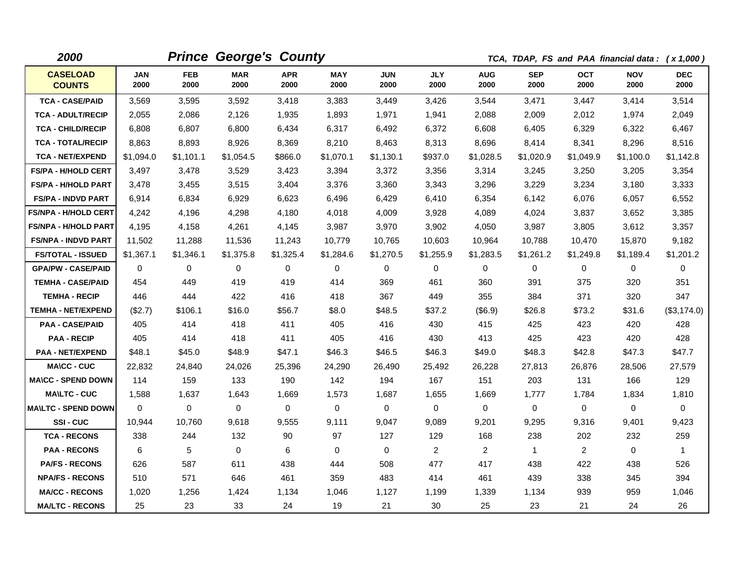| 2000                             |              |                    | <b>Prince George's County</b> |                    |             |                    |                    |                    | TCA, TDAP, FS and PAA financial data: (x 1,000) |                    |                    |                    |
|----------------------------------|--------------|--------------------|-------------------------------|--------------------|-------------|--------------------|--------------------|--------------------|-------------------------------------------------|--------------------|--------------------|--------------------|
| <b>CASELOAD</b><br><b>COUNTS</b> | JAN<br>2000  | <b>FEB</b><br>2000 | <b>MAR</b><br>2000            | <b>APR</b><br>2000 | MAY<br>2000 | <b>JUN</b><br>2000 | <b>JLY</b><br>2000 | <b>AUG</b><br>2000 | <b>SEP</b><br>2000                              | <b>OCT</b><br>2000 | <b>NOV</b><br>2000 | <b>DEC</b><br>2000 |
| <b>TCA - CASE/PAID</b>           | 3,569        | 3,595              | 3,592                         | 3,418              | 3,383       | 3,449              | 3,426              | 3,544              | 3,471                                           | 3,447              | 3,414              | 3,514              |
| <b>TCA - ADULT/RECIP</b>         | 2,055        | 2,086              | 2,126                         | 1,935              | 1,893       | 1,971              | 1,941              | 2,088              | 2,009                                           | 2,012              | 1,974              | 2,049              |
| <b>TCA - CHILD/RECIP</b>         | 6,808        | 6,807              | 6,800                         | 6,434              | 6,317       | 6,492              | 6,372              | 6,608              | 6,405                                           | 6,329              | 6,322              | 6,467              |
| <b>TCA - TOTAL/RECIP</b>         | 8,863        | 8,893              | 8,926                         | 8,369              | 8,210       | 8,463              | 8,313              | 8,696              | 8,414                                           | 8,341              | 8,296              | 8,516              |
| <b>TCA - NET/EXPEND</b>          | \$1,094.0    | \$1,101.1          | \$1,054.5                     | \$866.0            | \$1,070.1   | \$1,130.1          | \$937.0            | \$1,028.5          | \$1,020.9                                       | \$1.049.9          | \$1,100.0          | \$1,142.8          |
| <b>FS/PA - H/HOLD CERT</b>       | 3,497        | 3,478              | 3,529                         | 3,423              | 3,394       | 3,372              | 3,356              | 3,314              | 3,245                                           | 3,250              | 3,205              | 3,354              |
| <b>FS/PA - H/HOLD PART</b>       | 3,478        | 3,455              | 3,515                         | 3,404              | 3,376       | 3,360              | 3,343              | 3,296              | 3,229                                           | 3,234              | 3,180              | 3,333              |
| <b>FS/PA - INDVD PART</b>        | 6,914        | 6,834              | 6,929                         | 6,623              | 6,496       | 6,429              | 6,410              | 6,354              | 6,142                                           | 6,076              | 6,057              | 6,552              |
| <b>FS/NPA - H/HOLD CERT</b>      | 4,242        | 4,196              | 4,298                         | 4,180              | 4,018       | 4,009              | 3,928              | 4,089              | 4,024                                           | 3,837              | 3,652              | 3,385              |
| <b>FS/NPA - H/HOLD PART</b>      | 4,195        | 4,158              | 4,261                         | 4,145              | 3,987       | 3,970              | 3,902              | 4,050              | 3,987                                           | 3,805              | 3,612              | 3,357              |
| <b>FS/NPA - INDVD PART</b>       | 11,502       | 11,288             | 11,536                        | 11,243             | 10,779      | 10,765             | 10,603             | 10,964             | 10,788                                          | 10,470             | 15,870             | 9,182              |
| <b>FS/TOTAL - ISSUED</b>         | \$1,367.1    | \$1,346.1          | \$1,375.8                     | \$1,325.4          | \$1,284.6   | \$1,270.5          | \$1,255.9          | \$1,283.5          | \$1,261.2                                       | \$1,249.8          | \$1,189.4          | \$1,201.2          |
| <b>GPA/PW - CASE/PAID</b>        | 0            | 0                  | 0                             | $\mathbf 0$        | 0           | $\mathbf 0$        | 0                  | $\mathbf 0$        | 0                                               | $\mathbf 0$        | 0                  | $\mathbf 0$        |
| <b>TEMHA - CASE/PAID</b>         | 454          | 449                | 419                           | 419                | 414         | 369                | 461                | 360                | 391                                             | 375                | 320                | 351                |
| <b>TEMHA - RECIP</b>             | 446          | 444                | 422                           | 416                | 418         | 367                | 449                | 355                | 384                                             | 371                | 320                | 347                |
| <b>TEMHA - NET/EXPEND</b>        | (\$2.7)      | \$106.1            | \$16.0                        | \$56.7             | \$8.0       | \$48.5             | \$37.2             | (\$6.9)            | \$26.8                                          | \$73.2             | \$31.6             | (\$3,174.0)        |
| <b>PAA - CASE/PAID</b>           | 405          | 414                | 418                           | 411                | 405         | 416                | 430                | 415                | 425                                             | 423                | 420                | 428                |
| <b>PAA - RECIP</b>               | 405          | 414                | 418                           | 411                | 405         | 416                | 430                | 413                | 425                                             | 423                | 420                | 428                |
| <b>PAA - NET/EXPEND</b>          | \$48.1       | \$45.0             | \$48.9                        | \$47.1             | \$46.3      | \$46.5             | \$46.3             | \$49.0             | \$48.3                                          | \$42.8             | \$47.3             | \$47.7             |
| <b>MA\CC - CUC</b>               | 22,832       | 24,840             | 24,026                        | 25,396             | 24,290      | 26,490             | 25,492             | 26,228             | 27,813                                          | 26,876             | 28,506             | 27,579             |
| <b>MA\CC - SPEND DOWN</b>        | 114          | 159                | 133                           | 190                | 142         | 194                | 167                | 151                | 203                                             | 131                | 166                | 129                |
| <b>MA\LTC - CUC</b>              | 1,588        | 1,637              | 1,643                         | 1,669              | 1,573       | 1,687              | 1,655              | 1,669              | 1,777                                           | 1,784              | 1,834              | 1,810              |
| <b>MAILTC - SPEND DOWN</b>       | $\mathbf{0}$ | 0                  | 0                             | 0                  | 0           | 0                  | 0                  | 0                  | $\mathbf 0$                                     | 0                  | 0                  | 0                  |
| SSI-CUC                          | 10,944       | 10,760             | 9,618                         | 9,555              | 9,111       | 9,047              | 9,089              | 9,201              | 9,295                                           | 9,316              | 9,401              | 9,423              |
| <b>TCA - RECONS</b>              | 338          | 244                | 132                           | 90                 | 97          | 127                | 129                | 168                | 238                                             | 202                | 232                | 259                |
| <b>PAA - RECONS</b>              | 6            | 5                  | $\Omega$                      | 6                  | 0           | $\Omega$           | $\overline{2}$     | $\overline{2}$     | $\mathbf{1}$                                    | $\overline{2}$     | $\Omega$           | $\mathbf{1}$       |
| <b>PA/FS - RECONS</b>            | 626          | 587                | 611                           | 438                | 444         | 508                | 477                | 417                | 438                                             | 422                | 438                | 526                |
| <b>NPA/FS - RECONS</b>           | 510          | 571                | 646                           | 461                | 359         | 483                | 414                | 461                | 439                                             | 338                | 345                | 394                |
| <b>MA/CC - RECONS</b>            | 1,020        | 1,256              | 1.424                         | 1,134              | 1,046       | 1,127              | 1,199              | 1,339              | 1,134                                           | 939                | 959                | 1,046              |
| <b>MA/LTC - RECONS</b>           | 25           | 23                 | 33                            | 24                 | 19          | 21                 | 30                 | 25                 | 23                                              | 21                 | 24                 | 26                 |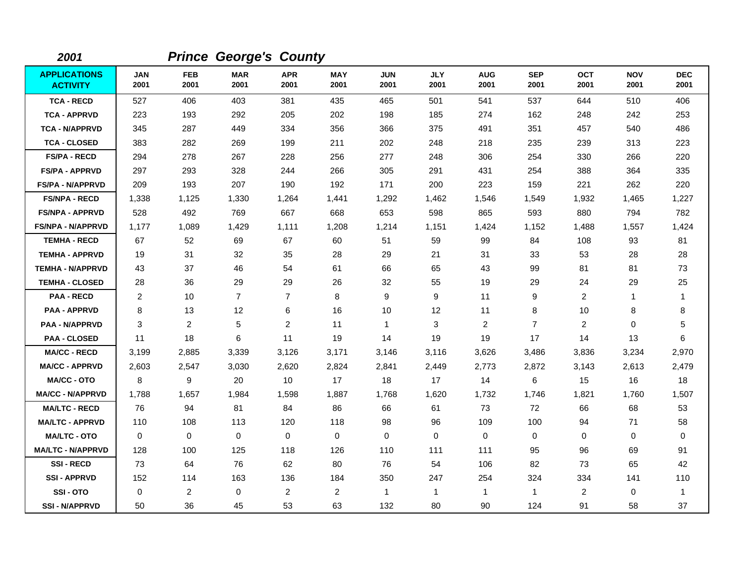| 2001                                   |                    |                    | <b>Prince George's County</b> |                    |                    |                    |                    |                    |                    |                    |                    |                    |
|----------------------------------------|--------------------|--------------------|-------------------------------|--------------------|--------------------|--------------------|--------------------|--------------------|--------------------|--------------------|--------------------|--------------------|
| <b>APPLICATIONS</b><br><b>ACTIVITY</b> | <b>JAN</b><br>2001 | <b>FEB</b><br>2001 | <b>MAR</b><br>2001            | <b>APR</b><br>2001 | <b>MAY</b><br>2001 | <b>JUN</b><br>2001 | <b>JLY</b><br>2001 | <b>AUG</b><br>2001 | <b>SEP</b><br>2001 | <b>OCT</b><br>2001 | <b>NOV</b><br>2001 | <b>DEC</b><br>2001 |
| <b>TCA - RECD</b>                      | 527                | 406                | 403                           | 381                | 435                | 465                | 501                | 541                | 537                | 644                | 510                | 406                |
| <b>TCA - APPRVD</b>                    | 223                | 193                | 292                           | 205                | 202                | 198                | 185                | 274                | 162                | 248                | 242                | 253                |
| <b>TCA - N/APPRVD</b>                  | 345                | 287                | 449                           | 334                | 356                | 366                | 375                | 491                | 351                | 457                | 540                | 486                |
| <b>TCA - CLOSED</b>                    | 383                | 282                | 269                           | 199                | 211                | 202                | 248                | 218                | 235                | 239                | 313                | 223                |
| <b>FS/PA - RECD</b>                    | 294                | 278                | 267                           | 228                | 256                | 277                | 248                | 306                | 254                | 330                | 266                | 220                |
| <b>FS/PA - APPRVD</b>                  | 297                | 293                | 328                           | 244                | 266                | 305                | 291                | 431                | 254                | 388                | 364                | 335                |
| <b>FS/PA - N/APPRVD</b>                | 209                | 193                | 207                           | 190                | 192                | 171                | 200                | 223                | 159                | 221                | 262                | 220                |
| <b>FS/NPA - RECD</b>                   | 1,338              | 1,125              | 1,330                         | 1,264              | 1,441              | 1,292              | 1,462              | 1,546              | 1,549              | 1,932              | 1,465              | 1,227              |
| <b>FS/NPA - APPRVD</b>                 | 528                | 492                | 769                           | 667                | 668                | 653                | 598                | 865                | 593                | 880                | 794                | 782                |
| <b>FS/NPA - N/APPRVD</b>               | 1,177              | 1,089              | 1,429                         | 1,111              | 1,208              | 1,214              | 1,151              | 1,424              | 1,152              | 1,488              | 1,557              | 1,424              |
| <b>TEMHA - RECD</b>                    | 67                 | 52                 | 69                            | 67                 | 60                 | 51                 | 59                 | 99                 | 84                 | 108                | 93                 | 81                 |
| <b>TEMHA - APPRVD</b>                  | 19                 | 31                 | 32                            | 35                 | 28                 | 29                 | 21                 | 31                 | 33                 | 53                 | 28                 | 28                 |
| <b>TEMHA - N/APPRVD</b>                | 43                 | 37                 | 46                            | 54                 | 61                 | 66                 | 65                 | 43                 | 99                 | 81                 | 81                 | 73                 |
| <b>TEMHA - CLOSED</b>                  | 28                 | 36                 | 29                            | 29                 | 26                 | 32                 | 55                 | 19                 | 29                 | 24                 | 29                 | 25                 |
| <b>PAA - RECD</b>                      | $\overline{2}$     | 10                 | $\overline{7}$                | $\overline{7}$     | 8                  | 9                  | 9                  | 11                 | 9                  | $\overline{2}$     | $\mathbf{1}$       | 1                  |
| <b>PAA - APPRVD</b>                    | 8                  | 13                 | 12                            | 6                  | 16                 | 10                 | 12                 | 11                 | 8                  | 10                 | 8                  | 8                  |
| <b>PAA - N/APPRVD</b>                  | 3                  | 2                  | 5                             | $\overline{2}$     | 11                 | $\mathbf{1}$       | 3                  | $\overline{c}$     | $\overline{7}$     | $\overline{2}$     | 0                  | 5                  |
| <b>PAA - CLOSED</b>                    | 11                 | 18                 | 6                             | 11                 | 19                 | 14                 | 19                 | 19                 | 17                 | 14                 | 13                 | 6                  |
| <b>MA/CC - RECD</b>                    | 3,199              | 2,885              | 3,339                         | 3,126              | 3,171              | 3,146              | 3,116              | 3,626              | 3,486              | 3,836              | 3,234              | 2,970              |
| <b>MA/CC - APPRVD</b>                  | 2,603              | 2,547              | 3,030                         | 2,620              | 2,824              | 2,841              | 2,449              | 2,773              | 2,872              | 3,143              | 2,613              | 2,479              |
| <b>MA/CC - OTO</b>                     | 8                  | 9                  | 20                            | 10                 | 17                 | 18                 | 17                 | 14                 | 6                  | 15                 | 16                 | 18                 |
| <b>MA/CC - N/APPRVD</b>                | 1.788              | 1,657              | 1,984                         | 1,598              | 1,887              | 1.768              | 1,620              | 1,732              | 1,746              | 1,821              | 1,760              | 1,507              |
| <b>MA/LTC - RECD</b>                   | 76                 | 94                 | 81                            | 84                 | 86                 | 66                 | 61                 | 73                 | 72                 | 66                 | 68                 | 53                 |
| <b>MA/LTC - APPRVD</b>                 | 110                | 108                | 113                           | 120                | 118                | 98                 | 96                 | 109                | 100                | 94                 | 71                 | 58                 |
| <b>MA/LTC - OTO</b>                    | 0                  | $\mathbf 0$        | $\mathbf 0$                   | 0                  | $\mathbf 0$        | 0                  | $\Omega$           | $\mathbf 0$        | $\mathbf 0$        | $\Omega$           | 0                  | 0                  |
| <b>MA/LTC - N/APPRVD</b>               | 128                | 100                | 125                           | 118                | 126                | 110                | 111                | 111                | 95                 | 96                 | 69                 | 91                 |
| <b>SSI-RECD</b>                        | 73                 | 64                 | 76                            | 62                 | 80                 | 76                 | 54                 | 106                | 82                 | 73                 | 65                 | 42                 |
| <b>SSI-APPRVD</b>                      | 152                | 114                | 163                           | 136                | 184                | 350                | 247                | 254                | 324                | 334                | 141                | 110                |
| SSI-OTO                                | 0                  | $\overline{2}$     | $\mathbf 0$                   | $\overline{2}$     | $\overline{c}$     | $\mathbf{1}$       | $\mathbf{1}$       | $\mathbf{1}$       | $\mathbf{1}$       | $\overline{2}$     | 0                  | $\mathbf{1}$       |
| <b>SSI - N/APPRVD</b>                  | 50                 | 36                 | 45                            | 53                 | 63                 | 132                | 80                 | 90                 | 124                | 91                 | 58                 | 37                 |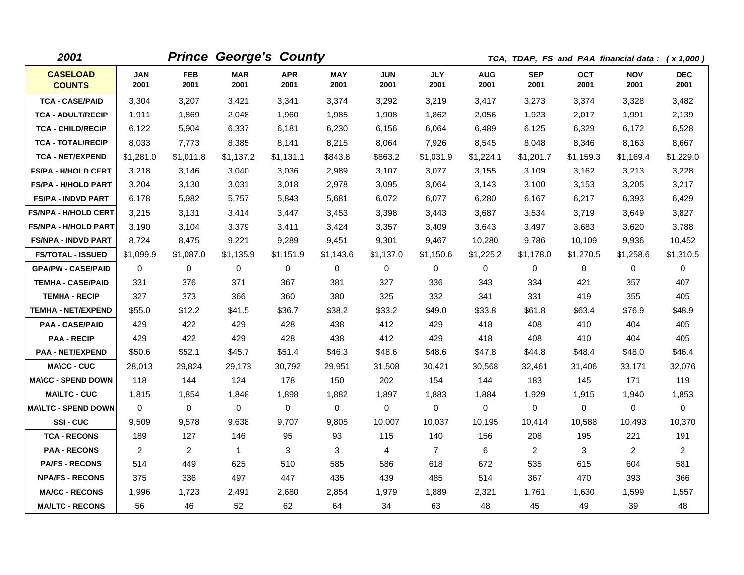| 2001                             |                    |                    |                    | <b>Prince George's County</b> |                    |                    |                    |                    |                    |                    | TCA, TDAP, FS and PAA financial data: (x 1,000) |                    |
|----------------------------------|--------------------|--------------------|--------------------|-------------------------------|--------------------|--------------------|--------------------|--------------------|--------------------|--------------------|-------------------------------------------------|--------------------|
| <b>CASELOAD</b><br><b>COUNTS</b> | <b>JAN</b><br>2001 | <b>FEB</b><br>2001 | <b>MAR</b><br>2001 | <b>APR</b><br>2001            | <b>MAY</b><br>2001 | <b>JUN</b><br>2001 | <b>JLY</b><br>2001 | <b>AUG</b><br>2001 | <b>SEP</b><br>2001 | <b>OCT</b><br>2001 | <b>NOV</b><br>2001                              | <b>DEC</b><br>2001 |
| <b>TCA - CASE/PAID</b>           | 3,304              | 3,207              | 3,421              | 3,341                         | 3,374              | 3,292              | 3,219              | 3,417              | 3,273              | 3,374              | 3,328                                           | 3,482              |
| <b>TCA - ADULT/RECIP</b>         | 1,911              | 1,869              | 2,048              | 1,960                         | 1,985              | 1,908              | 1,862              | 2,056              | 1,923              | 2,017              | 1,991                                           | 2,139              |
| <b>TCA - CHILD/RECIP</b>         | 6,122              | 5,904              | 6,337              | 6,181                         | 6,230              | 6,156              | 6,064              | 6,489              | 6,125              | 6,329              | 6,172                                           | 6,528              |
| <b>TCA - TOTAL/RECIP</b>         | 8,033              | 7,773              | 8,385              | 8,141                         | 8,215              | 8,064              | 7,926              | 8,545              | 8,048              | 8,346              | 8,163                                           | 8,667              |
| <b>TCA - NET/EXPEND</b>          | \$1,281.0          | \$1,011.8          | \$1,137.2          | \$1,131.1                     | \$843.8            | \$863.2            | \$1,031.9          | \$1,224.1          | \$1,201.7          | \$1,159.3          | \$1,169.4                                       | \$1,229.0          |
| <b>FS/PA - H/HOLD CERT</b>       | 3,218              | 3,146              | 3,040              | 3,036                         | 2,989              | 3,107              | 3,077              | 3,155              | 3,109              | 3,162              | 3,213                                           | 3,228              |
| <b>FS/PA - H/HOLD PART</b>       | 3,204              | 3,130              | 3,031              | 3,018                         | 2,978              | 3,095              | 3,064              | 3,143              | 3,100              | 3,153              | 3,205                                           | 3,217              |
| <b>FS/PA - INDVD PART</b>        | 6,178              | 5,982              | 5.757              | 5,843                         | 5,681              | 6,072              | 6.077              | 6,280              | 6.167              | 6,217              | 6,393                                           | 6,429              |
| <b>FS/NPA - H/HOLD CERT</b>      | 3,215              | 3,131              | 3,414              | 3,447                         | 3,453              | 3,398              | 3,443              | 3,687              | 3,534              | 3,719              | 3,649                                           | 3,827              |
| <b>FS/NPA - H/HOLD PART</b>      | 3,190              | 3,104              | 3,379              | 3,411                         | 3,424              | 3,357              | 3,409              | 3,643              | 3,497              | 3,683              | 3,620                                           | 3,788              |
| <b>FS/NPA - INDVD PART</b>       | 8,724              | 8,475              | 9,221              | 9,289                         | 9,451              | 9,301              | 9,467              | 10,280             | 9,786              | 10,109             | 9,936                                           | 10,452             |
| <b>FS/TOTAL - ISSUED</b>         | \$1,099.9          | \$1,087.0          | \$1,135.9          | \$1,151.9                     | \$1,143.6          | \$1,137.0          | \$1,150.6          | \$1,225.2          | \$1,178.0          | \$1,270.5          | \$1,258.6                                       | \$1,310.5          |
| <b>GPA/PW - CASE/PAID</b>        | $\Omega$           | $\Omega$           | $\Omega$           | $\Omega$                      | 0                  | $\Omega$           | $\Omega$           | $\Omega$           | $\Omega$           | $\Omega$           | $\mathbf{0}$                                    | 0                  |
| <b>TEMHA - CASE/PAID</b>         | 331                | 376                | 371                | 367                           | 381                | 327                | 336                | 343                | 334                | 421                | 357                                             | 407                |
| <b>TEMHA - RECIP</b>             | 327                | 373                | 366                | 360                           | 380                | 325                | 332                | 341                | 331                | 419                | 355                                             | 405                |
| <b>TEMHA - NET/EXPEND</b>        | \$55.0             | \$12.2             | \$41.5             | \$36.7                        | \$38.2             | \$33.2             | \$49.0             | \$33.8             | \$61.8             | \$63.4             | \$76.9                                          | \$48.9             |
| <b>PAA - CASE/PAID</b>           | 429                | 422                | 429                | 428                           | 438                | 412                | 429                | 418                | 408                | 410                | 404                                             | 405                |
| <b>PAA - RECIP</b>               | 429                | 422                | 429                | 428                           | 438                | 412                | 429                | 418                | 408                | 410                | 404                                             | 405                |
| <b>PAA - NET/EXPEND</b>          | \$50.6             | \$52.1             | \$45.7             | \$51.4                        | \$46.3             | \$48.6             | \$48.6             | \$47.8             | \$44.8             | \$48.4             | \$48.0                                          | \$46.4             |
| <b>MA\CC - CUC</b>               | 28,013             | 29,824             | 29,173             | 30,792                        | 29,951             | 31,508             | 30,421             | 30,568             | 32,461             | 31,406             | 33,171                                          | 32,076             |
| <b>MA\CC - SPEND DOWN</b>        | 118                | 144                | 124                | 178                           | 150                | 202                | 154                | 144                | 183                | 145                | 171                                             | 119                |
| <b>MA\LTC - CUC</b>              | 1,815              | 1,854              | 1,848              | 1,898                         | 1,882              | 1,897              | 1,883              | 1,884              | 1,929              | 1,915              | 1,940                                           | 1,853              |
| <b>MAILTC - SPEND DOWN</b>       | $\Omega$           | 0                  | 0                  | 0                             | 0                  | 0                  | 0                  | 0                  | 0                  | 0                  | 0                                               | 0                  |
| SSI-CUC                          | 9,509              | 9,578              | 9,638              | 9,707                         | 9,805              | 10,007             | 10,037             | 10,195             | 10,414             | 10,588             | 10,493                                          | 10,370             |
| <b>TCA - RECONS</b>              | 189                | 127                | 146                | 95                            | 93                 | 115                | 140                | 156                | 208                | 195                | 221                                             | 191                |
| <b>PAA - RECONS</b>              | $\overline{2}$     | $\overline{2}$     | $\mathbf{1}$       | 3                             | 3                  | 4                  | $\overline{7}$     | 6                  | $\overline{2}$     | 3                  | $\overline{2}$                                  | $\overline{2}$     |
| <b>PA/FS - RECONS</b>            | 514                | 449                | 625                | 510                           | 585                | 586                | 618                | 672                | 535                | 615                | 604                                             | 581                |
| <b>NPA/FS - RECONS</b>           | 375                | 336                | 497                | 447                           | 435                | 439                | 485                | 514                | 367                | 470                | 393                                             | 366                |
| <b>MA/CC - RECONS</b>            | 1,996              | 1,723              | 2,491              | 2,680                         | 2,854              | 1,979              | 1,889              | 2,321              | 1,761              | 1,630              | 1,599                                           | 1,557              |
| <b>MA/LTC - RECONS</b>           | 56                 | 46                 | 52                 | 62                            | 64                 | 34                 | 63                 | 48                 | 45                 | 49                 | 39                                              | 48                 |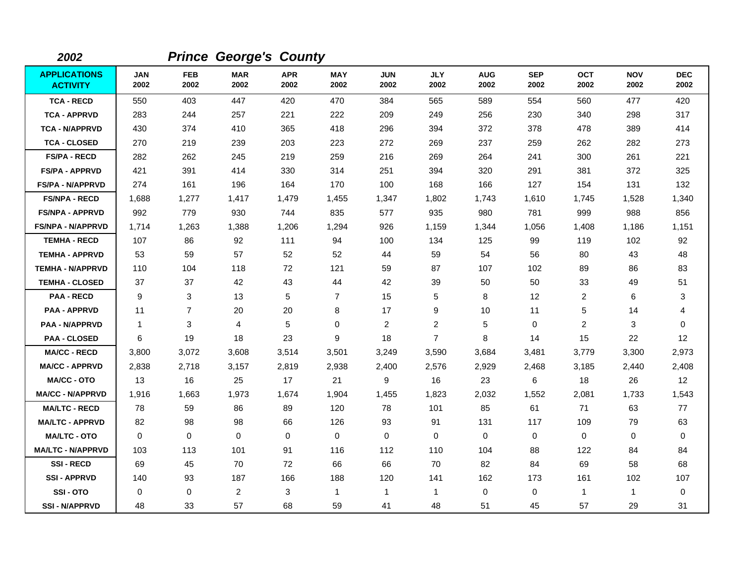| 2002                                   |                    |                    | <b>Prince George's County</b> |                    |                    |                    |                    |                    |                    |                    |                    |                    |
|----------------------------------------|--------------------|--------------------|-------------------------------|--------------------|--------------------|--------------------|--------------------|--------------------|--------------------|--------------------|--------------------|--------------------|
| <b>APPLICATIONS</b><br><b>ACTIVITY</b> | <b>JAN</b><br>2002 | <b>FEB</b><br>2002 | <b>MAR</b><br>2002            | <b>APR</b><br>2002 | <b>MAY</b><br>2002 | <b>JUN</b><br>2002 | <b>JLY</b><br>2002 | <b>AUG</b><br>2002 | <b>SEP</b><br>2002 | <b>OCT</b><br>2002 | <b>NOV</b><br>2002 | <b>DEC</b><br>2002 |
| <b>TCA - RECD</b>                      | 550                | 403                | 447                           | 420                | 470                | 384                | 565                | 589                | 554                | 560                | 477                | 420                |
| <b>TCA - APPRVD</b>                    | 283                | 244                | 257                           | 221                | 222                | 209                | 249                | 256                | 230                | 340                | 298                | 317                |
| <b>TCA - N/APPRVD</b>                  | 430                | 374                | 410                           | 365                | 418                | 296                | 394                | 372                | 378                | 478                | 389                | 414                |
| <b>TCA - CLOSED</b>                    | 270                | 219                | 239                           | 203                | 223                | 272                | 269                | 237                | 259                | 262                | 282                | 273                |
| <b>FS/PA - RECD</b>                    | 282                | 262                | 245                           | 219                | 259                | 216                | 269                | 264                | 241                | 300                | 261                | 221                |
| <b>FS/PA - APPRVD</b>                  | 421                | 391                | 414                           | 330                | 314                | 251                | 394                | 320                | 291                | 381                | 372                | 325                |
| <b>FS/PA - N/APPRVD</b>                | 274                | 161                | 196                           | 164                | 170                | 100                | 168                | 166                | 127                | 154                | 131                | 132                |
| <b>FS/NPA - RECD</b>                   | 1,688              | 1,277              | 1,417                         | 1,479              | 1,455              | 1,347              | 1,802              | 1,743              | 1,610              | 1,745              | 1,528              | 1,340              |
| <b>FS/NPA - APPRVD</b>                 | 992                | 779                | 930                           | 744                | 835                | 577                | 935                | 980                | 781                | 999                | 988                | 856                |
| <b>FS/NPA - N/APPRVD</b>               | 1,714              | 1,263              | 1,388                         | 1,206              | 1,294              | 926                | 1,159              | 1,344              | 1,056              | 1,408              | 1,186              | 1,151              |
| <b>TEMHA - RECD</b>                    | 107                | 86                 | 92                            | 111                | 94                 | 100                | 134                | 125                | 99                 | 119                | 102                | 92                 |
| <b>TEMHA - APPRVD</b>                  | 53                 | 59                 | 57                            | 52                 | 52                 | 44                 | 59                 | 54                 | 56                 | 80                 | 43                 | 48                 |
| <b>TEMHA - N/APPRVD</b>                | 110                | 104                | 118                           | 72                 | 121                | 59                 | 87                 | 107                | 102                | 89                 | 86                 | 83                 |
| <b>TEMHA - CLOSED</b>                  | 37                 | 37                 | 42                            | 43                 | 44                 | 42                 | 39                 | 50                 | 50                 | 33                 | 49                 | 51                 |
| <b>PAA - RECD</b>                      | 9                  | 3                  | 13                            | 5                  | 7                  | 15                 | 5                  | 8                  | 12                 | 2                  | 6                  | 3                  |
| <b>PAA - APPRVD</b>                    | 11                 | $\overline{7}$     | 20                            | 20                 | 8                  | 17                 | 9                  | 10                 | 11                 | 5                  | 14                 | 4                  |
| <b>PAA - N/APPRVD</b>                  | $\mathbf{1}$       | 3                  | 4                             | 5                  | $\pmb{0}$          | $\overline{c}$     | $\overline{2}$     | 5                  | $\mathbf 0$        | $\overline{2}$     | 3                  | $\mathbf 0$        |
| <b>PAA - CLOSED</b>                    | 6                  | 19                 | 18                            | 23                 | 9                  | 18                 | $\overline{7}$     | 8                  | 14                 | 15                 | 22                 | 12                 |
| <b>MA/CC - RECD</b>                    | 3,800              | 3,072              | 3,608                         | 3,514              | 3,501              | 3,249              | 3,590              | 3,684              | 3,481              | 3,779              | 3,300              | 2,973              |
| <b>MA/CC - APPRVD</b>                  | 2,838              | 2,718              | 3,157                         | 2,819              | 2,938              | 2,400              | 2,576              | 2,929              | 2,468              | 3,185              | 2,440              | 2,408              |
| <b>MA/CC - OTO</b>                     | 13                 | 16                 | 25                            | 17                 | 21                 | 9                  | 16                 | 23                 | 6                  | 18                 | 26                 | 12                 |
| <b>MA/CC - N/APPRVD</b>                | 1,916              | 1,663              | 1,973                         | 1,674              | 1,904              | 1,455              | 1,823              | 2,032              | 1,552              | 2,081              | 1,733              | 1,543              |
| <b>MA/LTC - RECD</b>                   | 78                 | 59                 | 86                            | 89                 | 120                | 78                 | 101                | 85                 | 61                 | 71                 | 63                 | 77                 |
| <b>MA/LTC - APPRVD</b>                 | 82                 | 98                 | 98                            | 66                 | 126                | 93                 | 91                 | 131                | 117                | 109                | 79                 | 63                 |
| <b>MA/LTC - OTO</b>                    | $\Omega$           | $\mathbf 0$        | $\Omega$                      | $\mathbf 0$        | 0                  | $\mathbf 0$        | $\Omega$           | 0                  | $\mathbf 0$        | $\mathbf 0$        | $\mathbf 0$        | $\mathbf 0$        |
| <b>MA/LTC - N/APPRVD</b>               | 103                | 113                | 101                           | 91                 | 116                | 112                | 110                | 104                | 88                 | 122                | 84                 | 84                 |
| <b>SSI-RECD</b>                        | 69                 | 45                 | 70                            | 72                 | 66                 | 66                 | 70                 | 82                 | 84                 | 69                 | 58                 | 68                 |
| <b>SSI - APPRVD</b>                    | 140                | 93                 | 187                           | 166                | 188                | 120                | 141                | 162                | 173                | 161                | 102                | 107                |
| SSI-OTO                                | 0                  | 0                  | $\overline{c}$                | 3                  | $\mathbf{1}$       | 1                  | 1                  | 0                  | $\mathbf 0$        | $\mathbf{1}$       | 1                  | 0                  |
| <b>SSI - N/APPRVD</b>                  | 48                 | 33                 | 57                            | 68                 | 59                 | 41                 | 48                 | 51                 | 45                 | 57                 | 29                 | 31                 |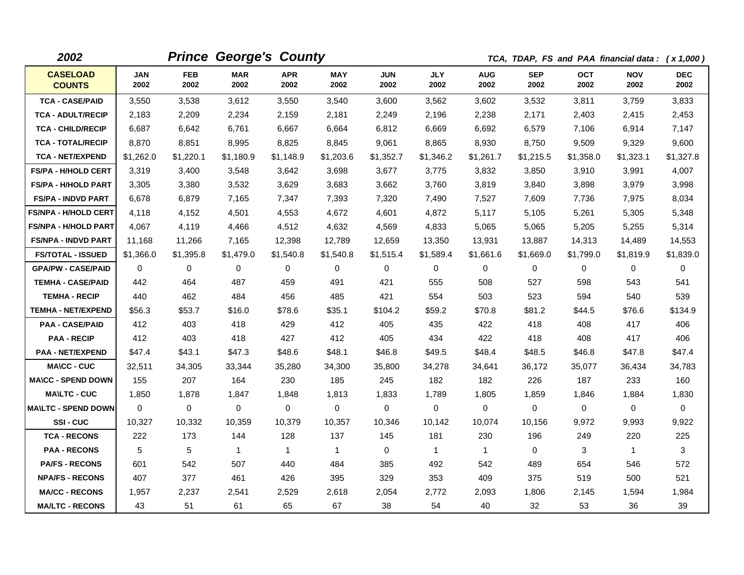| 2002                             |             |             | <b>Prince George's County</b> |                    |              |                    |              |                    |                    | TCA, TDAP, FS and PAA financial data: (x 1,000) |                    |                    |
|----------------------------------|-------------|-------------|-------------------------------|--------------------|--------------|--------------------|--------------|--------------------|--------------------|-------------------------------------------------|--------------------|--------------------|
| <b>CASELOAD</b><br><b>COUNTS</b> | JAN<br>2002 | FEB<br>2002 | <b>MAR</b><br>2002            | <b>APR</b><br>2002 | MAY<br>2002  | <b>JUN</b><br>2002 | JLY<br>2002  | <b>AUG</b><br>2002 | <b>SEP</b><br>2002 | <b>OCT</b><br>2002                              | <b>NOV</b><br>2002 | <b>DEC</b><br>2002 |
| <b>TCA - CASE/PAID</b>           | 3,550       | 3,538       | 3,612                         | 3,550              | 3,540        | 3,600              | 3,562        | 3,602              | 3,532              | 3,811                                           | 3,759              | 3,833              |
| <b>TCA - ADULT/RECIP</b>         | 2,183       | 2,209       | 2,234                         | 2,159              | 2,181        | 2,249              | 2,196        | 2,238              | 2,171              | 2,403                                           | 2,415              | 2,453              |
| <b>TCA - CHILD/RECIP</b>         | 6,687       | 6,642       | 6,761                         | 6,667              | 6,664        | 6,812              | 6,669        | 6,692              | 6,579              | 7,106                                           | 6,914              | 7,147              |
| <b>TCA - TOTAL/RECIP</b>         | 8,870       | 8,851       | 8,995                         | 8,825              | 8,845        | 9,061              | 8,865        | 8,930              | 8,750              | 9,509                                           | 9,329              | 9,600              |
| <b>TCA - NET/EXPEND</b>          | \$1,262.0   | \$1,220.1   | \$1,180.9                     | \$1,148.9          | \$1,203.6    | \$1,352.7          | \$1,346.2    | \$1,261.7          | \$1,215.5          | \$1,358.0                                       | \$1,323.1          | \$1,327.8          |
| <b>FS/PA - H/HOLD CERT</b>       | 3,319       | 3,400       | 3,548                         | 3,642              | 3,698        | 3,677              | 3,775        | 3,832              | 3,850              | 3,910                                           | 3,991              | 4,007              |
| <b>FS/PA - H/HOLD PART</b>       | 3,305       | 3,380       | 3,532                         | 3,629              | 3,683        | 3,662              | 3,760        | 3,819              | 3,840              | 3,898                                           | 3,979              | 3,998              |
| <b>FS/PA - INDVD PART</b>        | 6,678       | 6,879       | 7,165                         | 7,347              | 7,393        | 7,320              | 7,490        | 7,527              | 7,609              | 7,736                                           | 7,975              | 8,034              |
| <b>FS/NPA - H/HOLD CERT</b>      | 4,118       | 4,152       | 4,501                         | 4,553              | 4,672        | 4,601              | 4,872        | 5,117              | 5,105              | 5,261                                           | 5,305              | 5,348              |
| <b>FS/NPA - H/HOLD PART</b>      | 4,067       | 4,119       | 4,466                         | 4,512              | 4,632        | 4,569              | 4,833        | 5,065              | 5,065              | 5,205                                           | 5,255              | 5,314              |
| <b>FS/NPA - INDVD PART</b>       | 11,168      | 11,266      | 7,165                         | 12,398             | 12,789       | 12,659             | 13,350       | 13,931             | 13,887             | 14,313                                          | 14,489             | 14,553             |
| <b>FS/TOTAL - ISSUED</b>         | \$1,366.0   | \$1.395.8   | \$1.479.0                     | \$1,540.8          | \$1,540.8    | \$1,515.4          | \$1.589.4    | \$1,661.6          | \$1.669.0          | \$1,799.0                                       | \$1,819.9          | \$1,839.0          |
| <b>GPA/PW - CASE/PAID</b>        | 0           | 0           | 0                             | $\mathbf 0$        | 0            | $\mathbf 0$        | 0            | 0                  | 0                  | 0                                               | 0                  | $\mathbf 0$        |
| <b>TEMHA - CASE/PAID</b>         | 442         | 464         | 487                           | 459                | 491          | 421                | 555          | 508                | 527                | 598                                             | 543                | 541                |
| <b>TEMHA - RECIP</b>             | 440         | 462         | 484                           | 456                | 485          | 421                | 554          | 503                | 523                | 594                                             | 540                | 539                |
| <b>TEMHA - NET/EXPEND</b>        | \$56.3      | \$53.7      | \$16.0                        | \$78.6             | \$35.1       | \$104.2            | \$59.2       | \$70.8             | \$81.2             | \$44.5                                          | \$76.6             | \$134.9            |
| <b>PAA - CASE/PAID</b>           | 412         | 403         | 418                           | 429                | 412          | 405                | 435          | 422                | 418                | 408                                             | 417                | 406                |
| <b>PAA - RECIP</b>               | 412         | 403         | 418                           | 427                | 412          | 405                | 434          | 422                | 418                | 408                                             | 417                | 406                |
| <b>PAA - NET/EXPEND</b>          | \$47.4      | \$43.1      | \$47.3                        | \$48.6             | \$48.1       | \$46.8             | \$49.5       | \$48.4             | \$48.5             | \$46.8                                          | \$47.8             | \$47.4             |
| <b>MA\CC - CUC</b>               | 32,511      | 34,305      | 33,344                        | 35,280             | 34,300       | 35,800             | 34,278       | 34,641             | 36,172             | 35,077                                          | 36,434             | 34,783             |
| <b>MA\CC - SPEND DOWN</b>        | 155         | 207         | 164                           | 230                | 185          | 245                | 182          | 182                | 226                | 187                                             | 233                | 160                |
| <b>MA\LTC - CUC</b>              | 1,850       | 1,878       | 1,847                         | 1,848              | 1,813        | 1,833              | 1,789        | 1,805              | 1,859              | 1,846                                           | 1,884              | 1,830              |
| <b>MAILTC - SPEND DOWN</b>       | 0           | $\mathbf 0$ | $\mathbf 0$                   | $\mathbf 0$        | 0            | 0                  | 0            | 0                  | 0                  | 0                                               | 0                  | 0                  |
| SSI-CUC                          | 10,327      | 10,332      | 10,359                        | 10,379             | 10,357       | 10,346             | 10,142       | 10,074             | 10,156             | 9.972                                           | 9,993              | 9,922              |
| <b>TCA - RECONS</b>              | 222         | 173         | 144                           | 128                | 137          | 145                | 181          | 230                | 196                | 249                                             | 220                | 225                |
| <b>PAA - RECONS</b>              | 5           | 5           | $\overline{1}$                | $\mathbf{1}$       | $\mathbf{1}$ | $\Omega$           | $\mathbf{1}$ | $\mathbf{1}$       | $\Omega$           | 3                                               | $\mathbf{1}$       | 3                  |
| <b>PA/FS - RECONS</b>            | 601         | 542         | 507                           | 440                | 484          | 385                | 492          | 542                | 489                | 654                                             | 546                | 572                |
| <b>NPA/FS - RECONS</b>           | 407         | 377         | 461                           | 426                | 395          | 329                | 353          | 409                | 375                | 519                                             | 500                | 521                |
| <b>MA/CC - RECONS</b>            | 1,957       | 2,237       | 2,541                         | 2,529              | 2,618        | 2,054              | 2,772        | 2,093              | 1,806              | 2,145                                           | 1,594              | 1,984              |
| <b>MA/LTC - RECONS</b>           | 43          | 51          | 61                            | 65                 | 67           | 38                 | 54           | 40                 | 32                 | 53                                              | 36                 | 39                 |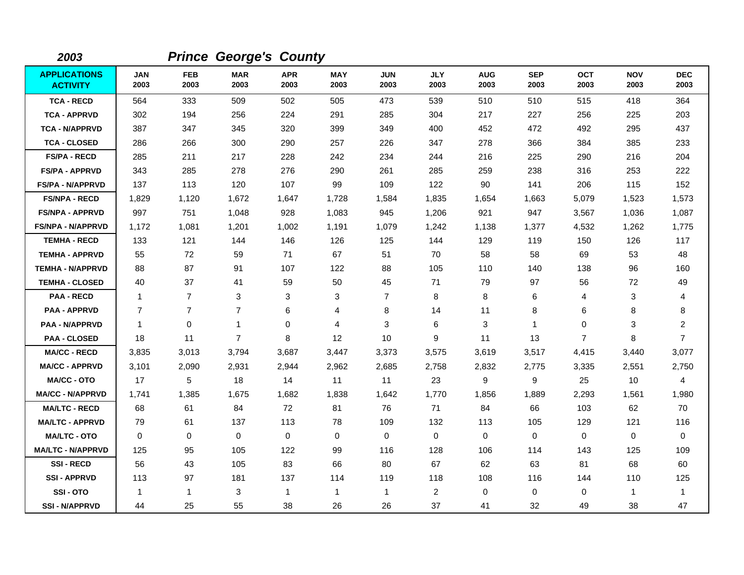| 2003                                   |                    |                    | <b>Prince George's County</b> |                    |                    |                    |                    |                    |                    |                    |                    |                    |
|----------------------------------------|--------------------|--------------------|-------------------------------|--------------------|--------------------|--------------------|--------------------|--------------------|--------------------|--------------------|--------------------|--------------------|
| <b>APPLICATIONS</b><br><b>ACTIVITY</b> | <b>JAN</b><br>2003 | <b>FEB</b><br>2003 | <b>MAR</b><br>2003            | <b>APR</b><br>2003 | <b>MAY</b><br>2003 | <b>JUN</b><br>2003 | <b>JLY</b><br>2003 | <b>AUG</b><br>2003 | <b>SEP</b><br>2003 | <b>OCT</b><br>2003 | <b>NOV</b><br>2003 | <b>DEC</b><br>2003 |
| <b>TCA - RECD</b>                      | 564                | 333                | 509                           | 502                | 505                | 473                | 539                | 510                | 510                | 515                | 418                | 364                |
| <b>TCA - APPRVD</b>                    | 302                | 194                | 256                           | 224                | 291                | 285                | 304                | 217                | 227                | 256                | 225                | 203                |
| <b>TCA - N/APPRVD</b>                  | 387                | 347                | 345                           | 320                | 399                | 349                | 400                | 452                | 472                | 492                | 295                | 437                |
| <b>TCA - CLOSED</b>                    | 286                | 266                | 300                           | 290                | 257                | 226                | 347                | 278                | 366                | 384                | 385                | 233                |
| <b>FS/PA - RECD</b>                    | 285                | 211                | 217                           | 228                | 242                | 234                | 244                | 216                | 225                | 290                | 216                | 204                |
| <b>FS/PA - APPRVD</b>                  | 343                | 285                | 278                           | 276                | 290                | 261                | 285                | 259                | 238                | 316                | 253                | 222                |
| <b>FS/PA - N/APPRVD</b>                | 137                | 113                | 120                           | 107                | 99                 | 109                | 122                | 90                 | 141                | 206                | 115                | 152                |
| <b>FS/NPA - RECD</b>                   | 1,829              | 1,120              | 1,672                         | 1,647              | 1,728              | 1,584              | 1,835              | 1,654              | 1,663              | 5,079              | 1,523              | 1,573              |
| <b>FS/NPA - APPRVD</b>                 | 997                | 751                | 1,048                         | 928                | 1,083              | 945                | 1,206              | 921                | 947                | 3,567              | 1,036              | 1,087              |
| <b>FS/NPA - N/APPRVD</b>               | 1,172              | 1,081              | 1,201                         | 1,002              | 1,191              | 1,079              | 1,242              | 1,138              | 1,377              | 4,532              | 1,262              | 1,775              |
| <b>TEMHA - RECD</b>                    | 133                | 121                | 144                           | 146                | 126                | 125                | 144                | 129                | 119                | 150                | 126                | 117                |
| <b>TEMHA - APPRVD</b>                  | 55                 | 72                 | 59                            | 71                 | 67                 | 51                 | 70                 | 58                 | 58                 | 69                 | 53                 | 48                 |
| <b>TEMHA - N/APPRVD</b>                | 88                 | 87                 | 91                            | 107                | 122                | 88                 | 105                | 110                | 140                | 138                | 96                 | 160                |
| <b>TEMHA - CLOSED</b>                  | 40                 | 37                 | 41                            | 59                 | 50                 | 45                 | 71                 | 79                 | 97                 | 56                 | 72                 | 49                 |
| <b>PAA - RECD</b>                      | $\mathbf{1}$       | $\overline{7}$     | 3                             | 3                  | 3                  | $\overline{7}$     | 8                  | 8                  | 6                  | 4                  | 3                  | 4                  |
| <b>PAA - APPRVD</b>                    | $\overline{7}$     | $\overline{7}$     | $\overline{7}$                | 6                  | 4                  | 8                  | 14                 | 11                 | 8                  | 6                  | 8                  | 8                  |
| <b>PAA - N/APPRVD</b>                  | $\mathbf{1}$       | 0                  | $\mathbf{1}$                  | $\Omega$           | 4                  | 3                  | 6                  | 3                  | $\mathbf 1$        | $\Omega$           | 3                  | $\overline{a}$     |
| <b>PAA - CLOSED</b>                    | 18                 | 11                 | $\overline{7}$                | 8                  | 12                 | 10                 | 9                  | 11                 | 13                 | $\overline{7}$     | 8                  | $\overline{7}$     |
| <b>MA/CC - RECD</b>                    | 3,835              | 3,013              | 3,794                         | 3,687              | 3,447              | 3,373              | 3,575              | 3,619              | 3,517              | 4,415              | 3,440              | 3,077              |
| <b>MA/CC - APPRVD</b>                  | 3,101              | 2,090              | 2,931                         | 2,944              | 2,962              | 2,685              | 2,758              | 2,832              | 2,775              | 3,335              | 2,551              | 2,750              |
| <b>MA/CC - OTO</b>                     | 17                 | 5                  | 18                            | 14                 | 11                 | 11                 | 23                 | 9                  | 9                  | 25                 | 10                 | $\overline{4}$     |
| <b>MA/CC - N/APPRVD</b>                | 1,741              | 1,385              | 1,675                         | 1,682              | 1,838              | 1,642              | 1,770              | 1,856              | 1,889              | 2,293              | 1,561              | 1,980              |
| <b>MA/LTC - RECD</b>                   | 68                 | 61                 | 84                            | 72                 | 81                 | 76                 | 71                 | 84                 | 66                 | 103                | 62                 | 70                 |
| <b>MA/LTC - APPRVD</b>                 | 79                 | 61                 | 137                           | 113                | 78                 | 109                | 132                | 113                | 105                | 129                | 121                | 116                |
| <b>MA/LTC - OTO</b>                    | 0                  | $\mathbf 0$        | $\mathbf 0$                   | 0                  | 0                  | $\mathbf 0$        | $\mathbf 0$        | $\mathbf 0$        | $\mathbf 0$        | $\mathbf 0$        | 0                  | 0                  |
| <b>MA/LTC - N/APPRVD</b>               | 125                | 95                 | 105                           | 122                | 99                 | 116                | 128                | 106                | 114                | 143                | 125                | 109                |
| <b>SSI-RECD</b>                        | 56                 | 43                 | 105                           | 83                 | 66                 | 80                 | 67                 | 62                 | 63                 | 81                 | 68                 | 60                 |
| <b>SSI-APPRVD</b>                      | 113                | 97                 | 181                           | 137                | 114                | 119                | 118                | 108                | 116                | 144                | 110                | 125                |
| SSI-OTO                                | $\mathbf{1}$       | $\mathbf 1$        | 3                             | $\mathbf 1$        | $\mathbf{1}$       | $\mathbf{1}$       | $\overline{2}$     | 0                  | $\Omega$           | $\Omega$           | $\mathbf{1}$       | $\mathbf{1}$       |
| <b>SSI - N/APPRVD</b>                  | 44                 | 25                 | 55                            | 38                 | 26                 | 26                 | 37                 | 41                 | 32                 | 49                 | 38                 | 47                 |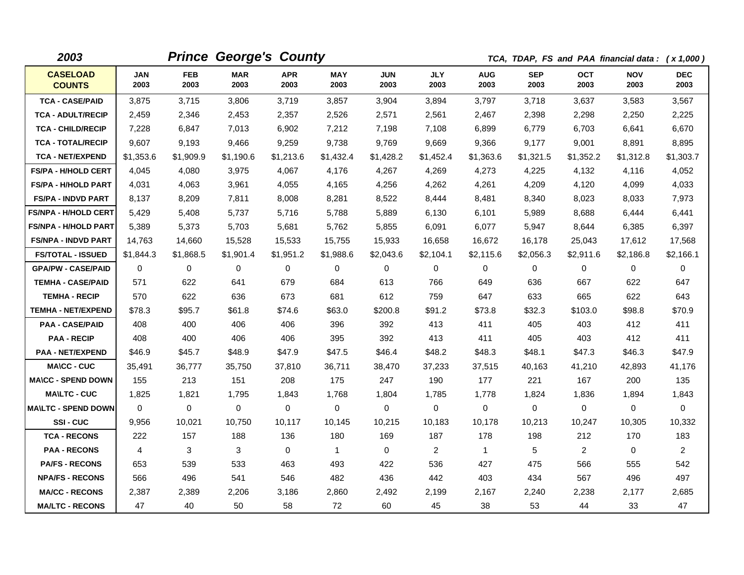| 2003                             |                    |                    | <b>Prince George's County</b> |                    |                    |                    |                    |                    |                    |                    | TCA, TDAP, FS and PAA financial data: (x 1,000) |                    |
|----------------------------------|--------------------|--------------------|-------------------------------|--------------------|--------------------|--------------------|--------------------|--------------------|--------------------|--------------------|-------------------------------------------------|--------------------|
| <b>CASELOAD</b><br><b>COUNTS</b> | <b>JAN</b><br>2003 | <b>FEB</b><br>2003 | <b>MAR</b><br>2003            | <b>APR</b><br>2003 | <b>MAY</b><br>2003 | <b>JUN</b><br>2003 | <b>JLY</b><br>2003 | <b>AUG</b><br>2003 | <b>SEP</b><br>2003 | <b>OCT</b><br>2003 | <b>NOV</b><br>2003                              | <b>DEC</b><br>2003 |
| <b>TCA - CASE/PAID</b>           | 3,875              | 3,715              | 3,806                         | 3,719              | 3,857              | 3,904              | 3,894              | 3,797              | 3,718              | 3,637              | 3,583                                           | 3,567              |
| <b>TCA - ADULT/RECIP</b>         | 2,459              | 2,346              | 2,453                         | 2,357              | 2,526              | 2,571              | 2,561              | 2,467              | 2,398              | 2,298              | 2,250                                           | 2,225              |
| <b>TCA - CHILD/RECIP</b>         | 7,228              | 6,847              | 7,013                         | 6,902              | 7,212              | 7,198              | 7,108              | 6,899              | 6,779              | 6,703              | 6,641                                           | 6,670              |
| <b>TCA - TOTAL/RECIP</b>         | 9,607              | 9,193              | 9,466                         | 9,259              | 9,738              | 9,769              | 9,669              | 9,366              | 9,177              | 9,001              | 8,891                                           | 8,895              |
| <b>TCA - NET/EXPEND</b>          | \$1,353.6          | \$1,909.9          | \$1,190.6                     | \$1,213.6          | \$1,432.4          | \$1,428.2          | \$1,452.4          | \$1,363.6          | \$1,321.5          | \$1,352.2          | \$1,312.8                                       | \$1,303.7          |
| <b>FS/PA - H/HOLD CERT</b>       | 4,045              | 4,080              | 3,975                         | 4,067              | 4,176              | 4,267              | 4,269              | 4,273              | 4,225              | 4,132              | 4,116                                           | 4,052              |
| <b>FS/PA - H/HOLD PART</b>       | 4,031              | 4,063              | 3,961                         | 4,055              | 4,165              | 4,256              | 4,262              | 4,261              | 4,209              | 4,120              | 4,099                                           | 4,033              |
| <b>FS/PA - INDVD PART</b>        | 8,137              | 8,209              | 7.811                         | 8,008              | 8,281              | 8,522              | 8.444              | 8,481              | 8,340              | 8,023              | 8,033                                           | 7.973              |
| <b>FS/NPA - H/HOLD CERT</b>      | 5,429              | 5,408              | 5.737                         | 5,716              | 5,788              | 5,889              | 6,130              | 6,101              | 5,989              | 8,688              | 6,444                                           | 6,441              |
| <b>FS/NPA - H/HOLD PART</b>      | 5,389              | 5,373              | 5,703                         | 5,681              | 5,762              | 5,855              | 6,091              | 6,077              | 5,947              | 8,644              | 6,385                                           | 6,397              |
| <b>FS/NPA - INDVD PART</b>       | 14,763             | 14,660             | 15,528                        | 15,533             | 15,755             | 15,933             | 16,658             | 16,672             | 16,178             | 25,043             | 17,612                                          | 17,568             |
| <b>FS/TOTAL - ISSUED</b>         | \$1,844.3          | \$1,868.5          | \$1,901.4                     | \$1,951.2          | \$1,988.6          | \$2,043.6          | \$2,104.1          | \$2,115.6          | \$2,056.3          | \$2,911.6          | \$2,186.8                                       | \$2,166.1          |
| <b>GPA/PW - CASE/PAID</b>        | $\Omega$           | 0                  | $\mathbf{0}$                  | $\Omega$           | $\Omega$           | $\Omega$           | 0                  | $\Omega$           | $\Omega$           | $\Omega$           | 0                                               | $\Omega$           |
| <b>TEMHA - CASE/PAID</b>         | 571                | 622                | 641                           | 679                | 684                | 613                | 766                | 649                | 636                | 667                | 622                                             | 647                |
| <b>TEMHA - RECIP</b>             | 570                | 622                | 636                           | 673                | 681                | 612                | 759                | 647                | 633                | 665                | 622                                             | 643                |
| <b>TEMHA - NET/EXPEND</b>        | \$78.3             | \$95.7             | \$61.8                        | \$74.6             | \$63.0             | \$200.8            | \$91.2             | \$73.8             | \$32.3             | \$103.0            | \$98.8                                          | \$70.9             |
| <b>PAA - CASE/PAID</b>           | 408                | 400                | 406                           | 406                | 396                | 392                | 413                | 411                | 405                | 403                | 412                                             | 411                |
| <b>PAA - RECIP</b>               | 408                | 400                | 406                           | 406                | 395                | 392                | 413                | 411                | 405                | 403                | 412                                             | 411                |
| <b>PAA - NET/EXPEND</b>          | \$46.9             | \$45.7             | \$48.9                        | \$47.9             | \$47.5             | \$46.4             | \$48.2             | \$48.3             | \$48.1             | \$47.3             | \$46.3                                          | \$47.9             |
| <b>MA\CC - CUC</b>               | 35,491             | 36,777             | 35,750                        | 37,810             | 36,711             | 38,470             | 37,233             | 37,515             | 40,163             | 41,210             | 42,893                                          | 41,176             |
| <b>MA\CC - SPEND DOWN</b>        | 155                | 213                | 151                           | 208                | 175                | 247                | 190                | 177                | 221                | 167                | 200                                             | 135                |
| <b>MA\LTC - CUC</b>              | 1,825              | 1,821              | 1,795                         | 1,843              | 1,768              | 1,804              | 1,785              | 1,778              | 1,824              | 1,836              | 1,894                                           | 1,843              |
| <b>MAILTC - SPEND DOWN</b>       | $\Omega$           | $\Omega$           | 0                             | $\Omega$           | 0                  | 0                  | $\Omega$           | $\mathbf 0$        | $\Omega$           | 0                  | 0                                               | $\Omega$           |
| SSI-CUC                          | 9,956              | 10,021             | 10,750                        | 10,117             | 10,145             | 10,215             | 10,183             | 10,178             | 10,213             | 10,247             | 10,305                                          | 10,332             |
| <b>TCA - RECONS</b>              | 222                | 157                | 188                           | 136                | 180                | 169                | 187                | 178                | 198                | 212                | 170                                             | 183                |
| <b>PAA - RECONS</b>              | 4                  | 3                  | 3                             | $\Omega$           | $\mathbf{1}$       | $\Omega$           | $\overline{2}$     | $\mathbf{1}$       | 5                  | 2                  | $\Omega$                                        | $\overline{2}$     |
| <b>PA/FS - RECONS</b>            | 653                | 539                | 533                           | 463                | 493                | 422                | 536                | 427                | 475                | 566                | 555                                             | 542                |
| <b>NPA/FS - RECONS</b>           | 566                | 496                | 541                           | 546                | 482                | 436                | 442                | 403                | 434                | 567                | 496                                             | 497                |
| <b>MA/CC - RECONS</b>            | 2,387              | 2,389              | 2,206                         | 3,186              | 2,860              | 2,492              | 2,199              | 2,167              | 2,240              | 2,238              | 2,177                                           | 2,685              |
| <b>MA/LTC - RECONS</b>           | 47                 | 40                 | 50                            | 58                 | 72                 | 60                 | 45                 | 38                 | 53                 | 44                 | 33                                              | 47                 |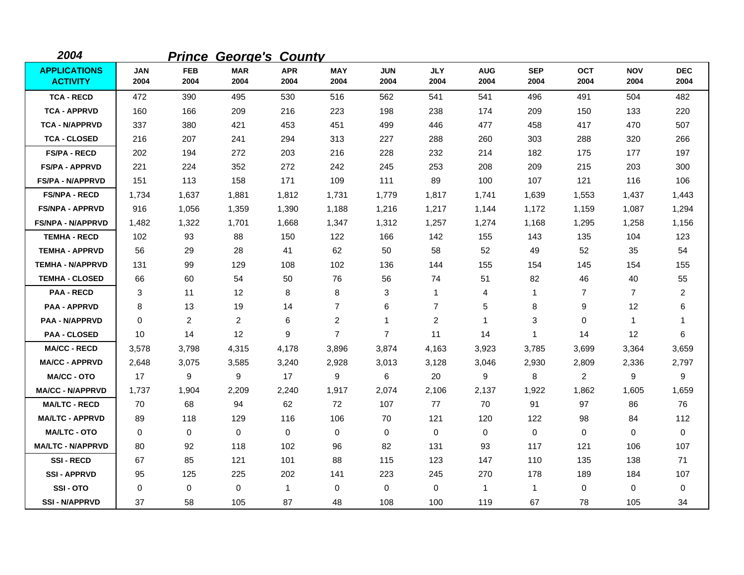| 2004                                   |                    |                    | <b>Prince George's County</b> |                    |                    |                    |                    |                    |                    |                    |                    |                    |
|----------------------------------------|--------------------|--------------------|-------------------------------|--------------------|--------------------|--------------------|--------------------|--------------------|--------------------|--------------------|--------------------|--------------------|
| <b>APPLICATIONS</b><br><b>ACTIVITY</b> | <b>JAN</b><br>2004 | <b>FEB</b><br>2004 | <b>MAR</b><br>2004            | <b>APR</b><br>2004 | <b>MAY</b><br>2004 | <b>JUN</b><br>2004 | <b>JLY</b><br>2004 | <b>AUG</b><br>2004 | <b>SEP</b><br>2004 | <b>OCT</b><br>2004 | <b>NOV</b><br>2004 | <b>DEC</b><br>2004 |
| <b>TCA - RECD</b>                      | 472                | 390                | 495                           | 530                | 516                | 562                | 541                | 541                | 496                | 491                | 504                | 482                |
| <b>TCA - APPRVD</b>                    | 160                | 166                | 209                           | 216                | 223                | 198                | 238                | 174                | 209                | 150                | 133                | 220                |
| <b>TCA - N/APPRVD</b>                  | 337                | 380                | 421                           | 453                | 451                | 499                | 446                | 477                | 458                | 417                | 470                | 507                |
| <b>TCA - CLOSED</b>                    | 216                | 207                | 241                           | 294                | 313                | 227                | 288                | 260                | 303                | 288                | 320                | 266                |
| <b>FS/PA - RECD</b>                    | 202                | 194                | 272                           | 203                | 216                | 228                | 232                | 214                | 182                | 175                | 177                | 197                |
| FS/PA - APPRVD                         | 221                | 224                | 352                           | 272                | 242                | 245                | 253                | 208                | 209                | 215                | 203                | 300                |
| <b>FS/PA - N/APPRVD</b>                | 151                | 113                | 158                           | 171                | 109                | 111                | 89                 | 100                | 107                | 121                | 116                | 106                |
| <b>FS/NPA - RECD</b>                   | 1,734              | 1,637              | 1,881                         | 1,812              | 1,731              | 1,779              | 1,817              | 1,741              | 1,639              | 1,553              | 1,437              | 1,443              |
| <b>FS/NPA - APPRVD</b>                 | 916                | 1,056              | 1,359                         | 1,390              | 1,188              | 1,216              | 1,217              | 1,144              | 1,172              | 1,159              | 1,087              | 1,294              |
| <b>FS/NPA - N/APPRVD</b>               | 1,482              | 1,322              | 1,701                         | 1,668              | 1,347              | 1,312              | 1,257              | 1,274              | 1,168              | 1,295              | 1,258              | 1,156              |
| <b>TEMHA - RECD</b>                    | 102                | 93                 | 88                            | 150                | 122                | 166                | 142                | 155                | 143                | 135                | 104                | 123                |
| <b>TEMHA - APPRVD</b>                  | 56                 | 29                 | 28                            | 41                 | 62                 | 50                 | 58                 | 52                 | 49                 | 52                 | 35                 | 54                 |
| <b>TEMHA - N/APPRVD</b>                | 131                | 99                 | 129                           | 108                | 102                | 136                | 144                | 155                | 154                | 145                | 154                | 155                |
| <b>TEMHA - CLOSED</b>                  | 66                 | 60                 | 54                            | 50                 | 76                 | 56                 | 74                 | 51                 | 82                 | 46                 | 40                 | 55                 |
| <b>PAA - RECD</b>                      | 3                  | 11                 | 12                            | 8                  | 8                  | 3                  | 1                  | 4                  | $\mathbf{1}$       | $\overline{7}$     | $\overline{7}$     | 2                  |
| <b>PAA - APPRVD</b>                    | 8                  | 13                 | 19                            | 14                 | $\overline{7}$     | 6                  | $\overline{7}$     | 5                  | 8                  | 9                  | 12                 | 6                  |
| <b>PAA - N/APPRVD</b>                  | 0                  | $\overline{2}$     | $\overline{2}$                | 6                  | $\overline{2}$     | 1                  | $\overline{c}$     | $\mathbf 1$        | 3                  | 0                  | $\mathbf{1}$       | 1                  |
| <b>PAA - CLOSED</b>                    | 10                 | 14                 | 12                            | 9                  | $\overline{7}$     | $\overline{7}$     | 11                 | 14                 | 1                  | 14                 | 12                 | 6                  |
| <b>MA/CC - RECD</b>                    | 3,578              | 3,798              | 4,315                         | 4,178              | 3,896              | 3,874              | 4,163              | 3,923              | 3,785              | 3,699              | 3,364              | 3,659              |
| <b>MA/CC - APPRVD</b>                  | 2,648              | 3,075              | 3,585                         | 3,240              | 2,928              | 3,013              | 3,128              | 3,046              | 2,930              | 2,809              | 2,336              | 2,797              |
| <b>MA/CC - OTO</b>                     | 17                 | 9                  | $\boldsymbol{9}$              | 17                 | 9                  | 6                  | 20                 | 9                  | 8                  | $\overline{2}$     | 9                  | 9                  |
| <b>MA/CC - N/APPRVD</b>                | 1,737              | 1,904              | 2,209                         | 2,240              | 1,917              | 2,074              | 2,106              | 2,137              | 1,922              | 1,862              | 1,605              | 1,659              |
| <b>MA/LTC - RECD</b>                   | 70                 | 68                 | 94                            | 62                 | 72                 | 107                | 77                 | 70                 | 91                 | 97                 | 86                 | 76                 |
| <b>MA/LTC - APPRVD</b>                 | 89                 | 118                | 129                           | 116                | 106                | 70                 | 121                | 120                | 122                | 98                 | 84                 | 112                |
| <b>MA/LTC - OTO</b>                    | 0                  | 0                  | $\mathbf 0$                   | $\mathbf 0$        | 0                  | $\mathbf 0$        | 0                  | 0                  | $\mathbf 0$        | 0                  | 0                  | 0                  |
| <b>MA/LTC - N/APPRVD</b>               | 80                 | 92                 | 118                           | 102                | 96                 | 82                 | 131                | 93                 | 117                | 121                | 106                | 107                |
| <b>SSI-RECD</b>                        | 67                 | 85                 | 121                           | 101                | 88                 | 115                | 123                | 147                | 110                | 135                | 138                | 71                 |
| <b>SSI - APPRVD</b>                    | 95                 | 125                | 225                           | 202                | 141                | 223                | 245                | 270                | 178                | 189                | 184                | 107                |
| SSI-OTO                                | 0                  | 0                  | $\mathbf 0$                   | -1                 | 0                  | $\mathbf 0$        | 0                  | -1                 | $\mathbf 1$        | 0                  | 0                  | 0                  |
| <b>SSI - N/APPRVD</b>                  | 37                 | 58                 | 105                           | 87                 | 48                 | 108                | 100                | 119                | 67                 | 78                 | 105                | 34                 |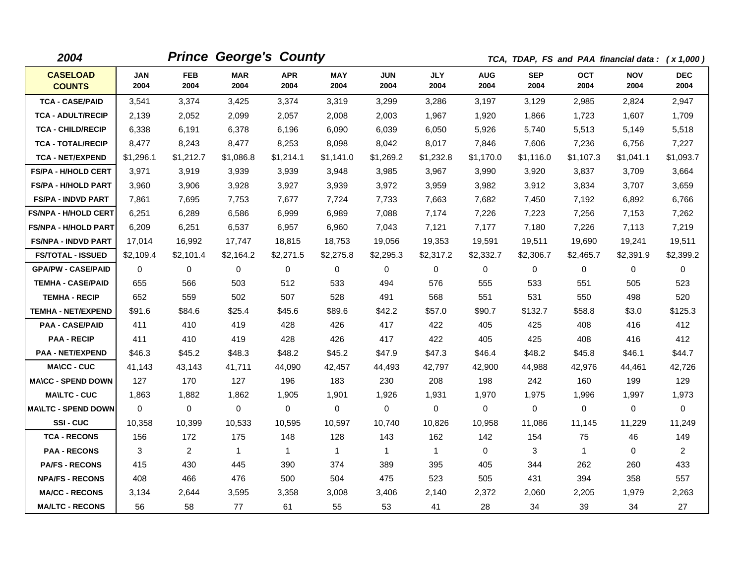| 2004                             |             |                    | <b>Prince George's County</b> |                    |                    |                    |                    |                    |                    | TCA, TDAP, FS and PAA financial data: (x 1,000) |                    |                    |
|----------------------------------|-------------|--------------------|-------------------------------|--------------------|--------------------|--------------------|--------------------|--------------------|--------------------|-------------------------------------------------|--------------------|--------------------|
| <b>CASELOAD</b><br><b>COUNTS</b> | JAN<br>2004 | <b>FEB</b><br>2004 | <b>MAR</b><br>2004            | <b>APR</b><br>2004 | <b>MAY</b><br>2004 | <b>JUN</b><br>2004 | <b>JLY</b><br>2004 | <b>AUG</b><br>2004 | <b>SEP</b><br>2004 | OCT<br>2004                                     | <b>NOV</b><br>2004 | <b>DEC</b><br>2004 |
| <b>TCA - CASE/PAID</b>           | 3,541       | 3,374              | 3,425                         | 3,374              | 3,319              | 3,299              | 3,286              | 3,197              | 3,129              | 2,985                                           | 2,824              | 2,947              |
| <b>TCA - ADULT/RECIP</b>         | 2,139       | 2,052              | 2,099                         | 2,057              | 2,008              | 2,003              | 1,967              | 1,920              | 1,866              | 1,723                                           | 1,607              | 1,709              |
| <b>TCA - CHILD/RECIP</b>         | 6,338       | 6,191              | 6,378                         | 6,196              | 6,090              | 6,039              | 6,050              | 5,926              | 5,740              | 5,513                                           | 5,149              | 5,518              |
| <b>TCA - TOTAL/RECIP</b>         | 8,477       | 8,243              | 8,477                         | 8,253              | 8,098              | 8,042              | 8,017              | 7,846              | 7,606              | 7,236                                           | 6,756              | 7,227              |
| <b>TCA - NET/EXPEND</b>          | \$1,296.1   | \$1,212.7          | \$1,086.8                     | \$1,214.1          | \$1,141.0          | \$1,269.2          | \$1,232.8          | \$1,170.0          | \$1,116.0          | \$1,107.3                                       | \$1,041.1          | \$1,093.7          |
| <b>FS/PA - H/HOLD CERT</b>       | 3,971       | 3,919              | 3,939                         | 3,939              | 3,948              | 3,985              | 3,967              | 3,990              | 3,920              | 3,837                                           | 3,709              | 3,664              |
| <b>FS/PA - H/HOLD PART</b>       | 3,960       | 3,906              | 3,928                         | 3,927              | 3,939              | 3,972              | 3,959              | 3,982              | 3,912              | 3,834                                           | 3,707              | 3,659              |
| <b>FS/PA - INDVD PART</b>        | 7,861       | 7,695              | 7,753                         | 7,677              | 7,724              | 7,733              | 7,663              | 7,682              | 7,450              | 7,192                                           | 6,892              | 6,766              |
| <b>FS/NPA - H/HOLD CERT</b>      | 6,251       | 6,289              | 6,586                         | 6,999              | 6,989              | 7,088              | 7,174              | 7,226              | 7,223              | 7,256                                           | 7,153              | 7,262              |
| <b>FS/NPA - H/HOLD PART</b>      | 6,209       | 6,251              | 6,537                         | 6,957              | 6,960              | 7.043              | 7,121              | 7,177              | 7.180              | 7,226                                           | 7,113              | 7,219              |
| <b>FS/NPA - INDVD PART</b>       | 17,014      | 16,992             | 17,747                        | 18,815             | 18,753             | 19,056             | 19,353             | 19,591             | 19,511             | 19,690                                          | 19,241             | 19,511             |
| <b>FS/TOTAL - ISSUED</b>         | \$2,109.4   | \$2,101.4          | \$2,164.2                     | \$2,271.5          | \$2,275.8          | \$2,295.3          | \$2,317.2          | \$2,332.7          | \$2,306.7          | \$2,465.7                                       | \$2,391.9          | \$2,399.2          |
| <b>GPA/PW - CASE/PAID</b>        | $\Omega$    | $\Omega$           | $\Omega$                      | $\Omega$           | 0                  | $\Omega$           | $\Omega$           | $\mathbf 0$        | 0                  | $\mathbf{0}$                                    | $\Omega$           | $\mathbf 0$        |
| <b>TEMHA - CASE/PAID</b>         | 655         | 566                | 503                           | 512                | 533                | 494                | 576                | 555                | 533                | 551                                             | 505                | 523                |
| <b>TEMHA - RECIP</b>             | 652         | 559                | 502                           | 507                | 528                | 491                | 568                | 551                | 531                | 550                                             | 498                | 520                |
| <b>TEMHA - NET/EXPEND</b>        | \$91.6      | \$84.6             | \$25.4                        | \$45.6             | \$89.6             | \$42.2             | \$57.0             | \$90.7             | \$132.7            | \$58.8                                          | \$3.0              | \$125.3            |
| <b>PAA - CASE/PAID</b>           | 411         | 410                | 419                           | 428                | 426                | 417                | 422                | 405                | 425                | 408                                             | 416                | 412                |
| <b>PAA - RECIP</b>               | 411         | 410                | 419                           | 428                | 426                | 417                | 422                | 405                | 425                | 408                                             | 416                | 412                |
| <b>PAA - NET/EXPEND</b>          | \$46.3      | \$45.2             | \$48.3                        | \$48.2             | \$45.2             | \$47.9             | \$47.3             | \$46.4             | \$48.2             | \$45.8                                          | \$46.1             | \$44.7             |
| <b>MA\CC - CUC</b>               | 41.143      | 43,143             | 41,711                        | 44,090             | 42,457             | 44,493             | 42,797             | 42,900             | 44,988             | 42,976                                          | 44,461             | 42,726             |
| <b>MA\CC - SPEND DOWN</b>        | 127         | 170                | 127                           | 196                | 183                | 230                | 208                | 198                | 242                | 160                                             | 199                | 129                |
| <b>MA\LTC - CUC</b>              | 1,863       | 1,882              | 1,862                         | 1,905              | 1,901              | 1,926              | 1,931              | 1,970              | 1,975              | 1,996                                           | 1,997              | 1,973              |
| <b>MAILTC - SPEND DOWN</b>       | $\Omega$    | $\mathbf 0$        | $\mathbf 0$                   | $\mathbf 0$        | $\mathbf 0$        | 0                  | 0                  | 0                  | 0                  | $\mathbf 0$                                     | $\mathbf 0$        | $\mathbf 0$        |
| SSI-CUC                          | 10,358      | 10,399             | 10,533                        | 10,595             | 10,597             | 10,740             | 10,826             | 10,958             | 11,086             | 11,145                                          | 11,229             | 11,249             |
| <b>TCA - RECONS</b>              | 156         | 172                | 175                           | 148                | 128                | 143                | 162                | 142                | 154                | 75                                              | 46                 | 149                |
| <b>PAA - RECONS</b>              | 3           | 2                  | $\overline{1}$                | $\mathbf{1}$       | $\mathbf{1}$       | $\mathbf{1}$       | $\mathbf{1}$       | $\mathbf 0$        | 3                  | $\mathbf{1}$                                    | $\Omega$           | $\overline{2}$     |
| <b>PA/FS - RECONS</b>            | 415         | 430                | 445                           | 390                | 374                | 389                | 395                | 405                | 344                | 262                                             | 260                | 433                |
| <b>NPA/FS - RECONS</b>           | 408         | 466                | 476                           | 500                | 504                | 475                | 523                | 505                | 431                | 394                                             | 358                | 557                |
| <b>MA/CC - RECONS</b>            | 3,134       | 2,644              | 3,595                         | 3,358              | 3,008              | 3,406              | 2,140              | 2,372              | 2,060              | 2,205                                           | 1,979              | 2,263              |
| <b>MA/LTC - RECONS</b>           | 56          | 58                 | 77                            | 61                 | 55                 | 53                 | 41                 | 28                 | 34                 | 39                                              | 34                 | 27                 |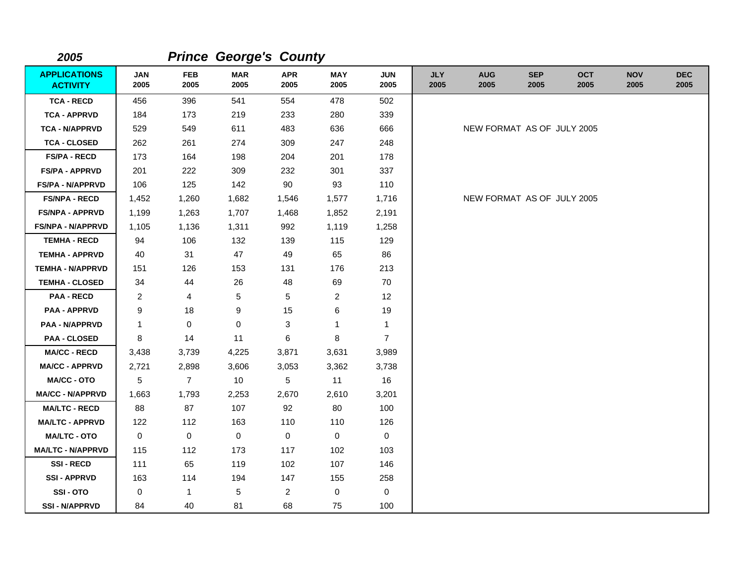| 2005                                   |                         |                    | <b>Prince George's County</b> |                    |                    |                    |                    |                            |                    |                    |                    |                    |
|----------------------------------------|-------------------------|--------------------|-------------------------------|--------------------|--------------------|--------------------|--------------------|----------------------------|--------------------|--------------------|--------------------|--------------------|
| <b>APPLICATIONS</b><br><b>ACTIVITY</b> | <b>JAN</b><br>2005      | <b>FEB</b><br>2005 | <b>MAR</b><br>2005            | <b>APR</b><br>2005 | <b>MAY</b><br>2005 | <b>JUN</b><br>2005 | <b>JLY</b><br>2005 | <b>AUG</b><br>2005         | <b>SEP</b><br>2005 | <b>OCT</b><br>2005 | <b>NOV</b><br>2005 | <b>DEC</b><br>2005 |
| <b>TCA - RECD</b>                      | 456                     | 396                | 541                           | 554                | 478                | 502                |                    |                            |                    |                    |                    |                    |
| <b>TCA - APPRVD</b>                    | 184                     | 173                | 219                           | 233                | 280                | 339                |                    |                            |                    |                    |                    |                    |
| <b>TCA - N/APPRVD</b>                  | 529                     | 549                | 611                           | 483                | 636                | 666                |                    | NEW FORMAT AS OF JULY 2005 |                    |                    |                    |                    |
| <b>TCA - CLOSED</b>                    | 262                     | 261                | 274                           | 309                | 247                | 248                |                    |                            |                    |                    |                    |                    |
| <b>FS/PA - RECD</b>                    | 173                     | 164                | 198                           | 204                | 201                | 178                |                    |                            |                    |                    |                    |                    |
| <b>FS/PA - APPRVD</b>                  | 201                     | 222                | 309                           | 232                | 301                | 337                |                    |                            |                    |                    |                    |                    |
| <b>FS/PA - N/APPRVD</b>                | 106                     | 125                | 142                           | 90                 | 93                 | 110                |                    |                            |                    |                    |                    |                    |
| <b>FS/NPA - RECD</b>                   | 1,452                   | 1,260              | 1,682                         | 1,546              | 1,577              | 1,716              |                    | NEW FORMAT AS OF JULY 2005 |                    |                    |                    |                    |
| <b>FS/NPA - APPRVD</b>                 | 1,199                   | 1,263              | 1,707                         | 1,468              | 1,852              | 2,191              |                    |                            |                    |                    |                    |                    |
| <b>FS/NPA - N/APPRVD</b>               | 1,105                   | 1,136              | 1,311                         | 992                | 1,119              | 1,258              |                    |                            |                    |                    |                    |                    |
| <b>TEMHA - RECD</b>                    | 94                      | 106                | 132                           | 139                | 115                | 129                |                    |                            |                    |                    |                    |                    |
| <b>TEMHA - APPRVD</b>                  | 40                      | 31                 | 47                            | 49                 | 65                 | 86                 |                    |                            |                    |                    |                    |                    |
| <b>TEMHA - N/APPRVD</b>                | 151                     | 126                | 153                           | 131                | 176                | 213                |                    |                            |                    |                    |                    |                    |
| <b>TEMHA - CLOSED</b>                  | 34                      | 44                 | 26                            | 48                 | 69                 | 70                 |                    |                            |                    |                    |                    |                    |
| <b>PAA - RECD</b>                      | $\overline{\mathbf{c}}$ | 4                  | 5                             | 5                  | $\overline{c}$     | 12                 |                    |                            |                    |                    |                    |                    |
| <b>PAA - APPRVD</b>                    | 9                       | 18                 | 9                             | 15                 | 6                  | 19                 |                    |                            |                    |                    |                    |                    |
| <b>PAA - N/APPRVD</b>                  | 1                       | 0                  | 0                             | 3                  | $\mathbf{1}$       | $\mathbf{1}$       |                    |                            |                    |                    |                    |                    |
| <b>PAA - CLOSED</b>                    | $\bf 8$                 | 14                 | 11                            | 6                  | 8                  | $\overline{7}$     |                    |                            |                    |                    |                    |                    |
| <b>MA/CC - RECD</b>                    | 3,438                   | 3,739              | 4,225                         | 3,871              | 3,631              | 3,989              |                    |                            |                    |                    |                    |                    |
| <b>MA/CC - APPRVD</b>                  | 2,721                   | 2,898              | 3,606                         | 3,053              | 3,362              | 3,738              |                    |                            |                    |                    |                    |                    |
| MA/CC - OTO                            | 5                       | $\overline{7}$     | 10                            | 5                  | 11                 | 16                 |                    |                            |                    |                    |                    |                    |
| <b>MA/CC - N/APPRVD</b>                | 1,663                   | 1,793              | 2,253                         | 2,670              | 2,610              | 3,201              |                    |                            |                    |                    |                    |                    |
| <b>MA/LTC - RECD</b>                   | 88                      | 87                 | 107                           | 92                 | 80                 | 100                |                    |                            |                    |                    |                    |                    |
| <b>MA/LTC - APPRVD</b>                 | 122                     | 112                | 163                           | 110                | 110                | 126                |                    |                            |                    |                    |                    |                    |
| <b>MA/LTC - OTO</b>                    | 0                       | $\mathsf{O}$       | $\pmb{0}$                     | 0                  | 0                  | 0                  |                    |                            |                    |                    |                    |                    |
| <b>MA/LTC - N/APPRVD</b>               | 115                     | 112                | 173                           | 117                | 102                | 103                |                    |                            |                    |                    |                    |                    |
| <b>SSI-RECD</b>                        | 111                     | 65                 | 119                           | 102                | 107                | 146                |                    |                            |                    |                    |                    |                    |
| <b>SSI - APPRVD</b>                    | 163                     | 114                | 194                           | 147                | 155                | 258                |                    |                            |                    |                    |                    |                    |
| SSI-OTO                                | 0                       | $\mathbf{1}$       | 5                             | $\overline{c}$     | 0                  | 0                  |                    |                            |                    |                    |                    |                    |
| <b>SSI - N/APPRVD</b>                  | 84                      | 40                 | 81                            | 68                 | 75                 | 100                |                    |                            |                    |                    |                    |                    |